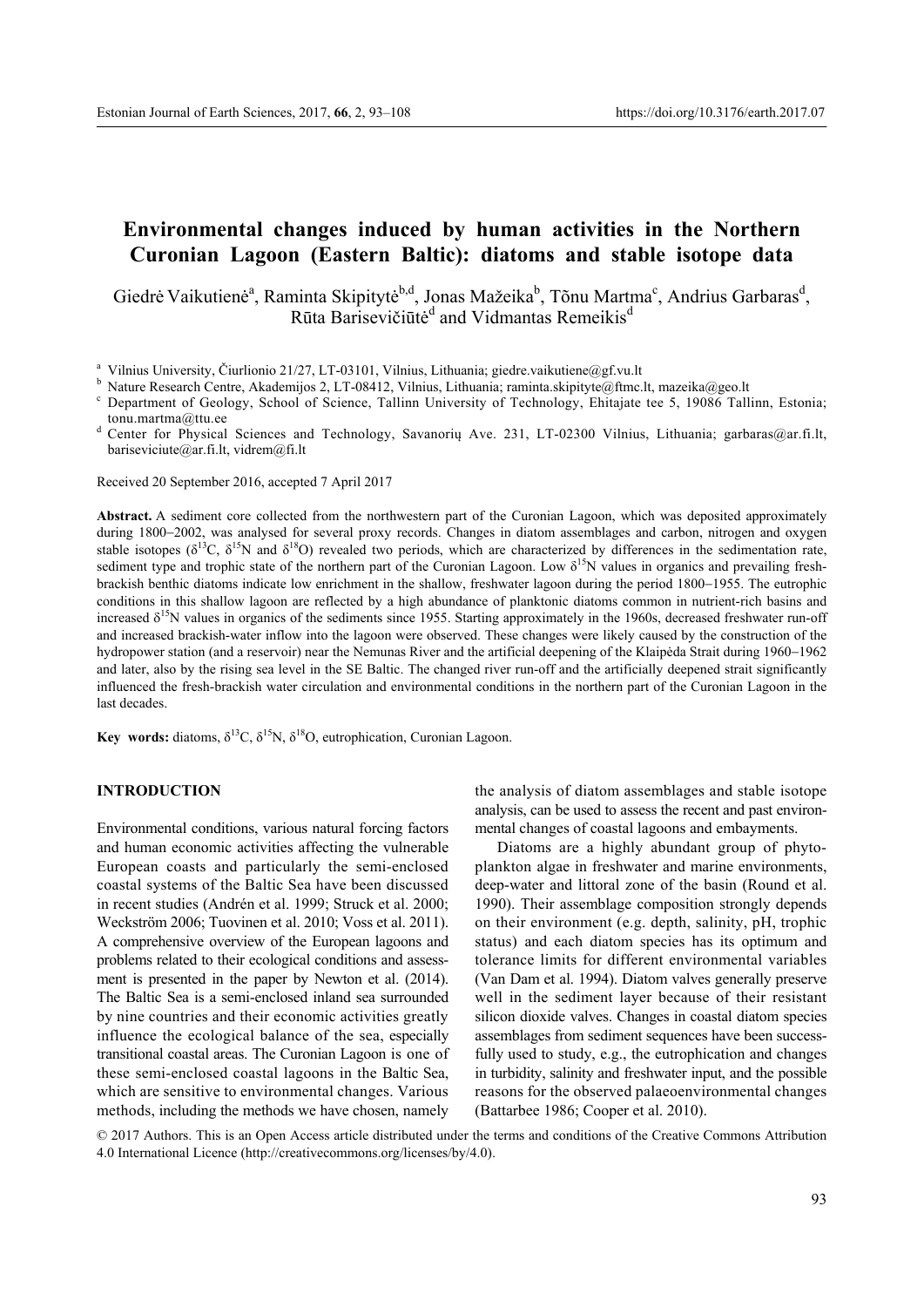# **Environmental changes induced by human activities in the Northern Curonian Lagoon (Eastern Baltic): diatoms and stable isotope data**

Giedrė Vaikutienė<sup>a</sup>, Raminta Skipitytė<sup>b,d</sup>, Jonas Mažeika<sup>b</sup>, Tõnu Martma<sup>c</sup>, Andrius Garbaras<sup>d</sup>, Rūta Barisevičiūtė<sup>d</sup> and Vidmantas Remeikis<sup>d</sup>

tonu.martma@ttu.ee<br>d Center for Physical Sciences and Technology, Savanorių Ave. 231, LT-02300 Vilnius, Lithuania; garbaras@ar.fi.lt, bariseviciute@ar.fi.lt, vidrem@fi.lt

Received 20 September 2016, accepted 7 April 2017

**Abstract.** A sediment core collected from the northwestern part of the Curonian Lagoon, which was deposited approximately during 1800-2002, was analysed for several proxy records. Changes in diatom assemblages and carbon, nitrogen and oxygen stable isotopes ( $\delta^{13}C$ ,  $\delta^{15}N$  and  $\delta^{18}O$ ) revealed two periods, which are characterized by differences in the sedimentation rate, sediment type and trophic state of the northern part of the Curonian Lagoon. Low  $\delta^{15}N$  values in organics and prevailing freshbrackish benthic diatoms indicate low enrichment in the shallow, freshwater lagoon during the period 1800–1955. The eutrophic conditions in this shallow lagoon are reflected by a high abundance of planktonic diatoms common in nutrient-rich basins and increased  $\delta^{15}N$  values in organics of the sediments since 1955. Starting approximately in the 1960s, decreased freshwater run-off and increased brackish-water inflow into the lagoon were observed. These changes were likely caused by the construction of the hydropower station (and a reservoir) near the Nemunas River and the artificial deepening of the Klaipėda Strait during 1960–1962 and later, also by the rising sea level in the SE Baltic. The changed river run-off and the artificially deepened strait significantly influenced the fresh-brackish water circulation and environmental conditions in the northern part of the Curonian Lagoon in the last decades.

**Key words:** diatoms,  $\delta^{13}C$ ,  $\delta^{15}N$ ,  $\delta^{18}O$ , eutrophication, Curonian Lagoon.

## **INTRODUCTION**

Environmental conditions, various natural forcing factors and human economic activities affecting the vulnerable European coasts and particularly the semi-enclosed coastal systems of the Baltic Sea have been discussed in recent studies (Andrén et al. 1999; Struck et al. 2000; Weckström 2006; Tuovinen et al. 2010; Voss et al. 2011). A comprehensive overview of the European lagoons and problems related to their ecological conditions and assessment is presented in the paper by Newton et al. (2014). The Baltic Sea is a semi-enclosed inland sea surrounded by nine countries and their economic activities greatly influence the ecological balance of the sea, especially transitional coastal areas. The Curonian Lagoon is one of these semi-enclosed coastal lagoons in the Baltic Sea, which are sensitive to environmental changes. Various methods, including the methods we have chosen, namely

the analysis of diatom assemblages and stable isotope analysis, can be used to assess the recent and past environmental changes of coastal lagoons and embayments.

Diatoms are a highly abundant group of phytoplankton algae in freshwater and marine environments, deep-water and littoral zone of the basin (Round et al. 1990). Their assemblage composition strongly depends on their environment (e.g. depth, salinity, pH, trophic status) and each diatom species has its optimum and tolerance limits for different environmental variables (Van Dam et al. 1994). Diatom valves generally preserve well in the sediment layer because of their resistant silicon dioxide valves. Changes in coastal diatom species assemblages from sediment sequences have been successfully used to study, e.g., the eutrophication and changes in turbidity, salinity and freshwater input, and the possible reasons for the observed palaeoenvironmental changes (Battarbee 1986; Cooper et al. 2010).

© 2017 Authors. This is an Open Access article distributed under the terms and conditions of the Creative Commons Attribution 4.0 International Licence (http://creativecommons.org/licenses/by/4.0).

<sup>&</sup>lt;sup>a</sup> Vilnius University, Čiurlionio 21/27, LT-03101, Vilnius, Lithuania; giedre vaikutiene@gf.vu.lt<br><sup>b</sup> Nature Research Centre, Akademijos 2, LT-08412, Vilnius, Lithuania; raminta.skipityte@ftmc.lt, mazeika@geo.lt<br><sup>c</sup> Depar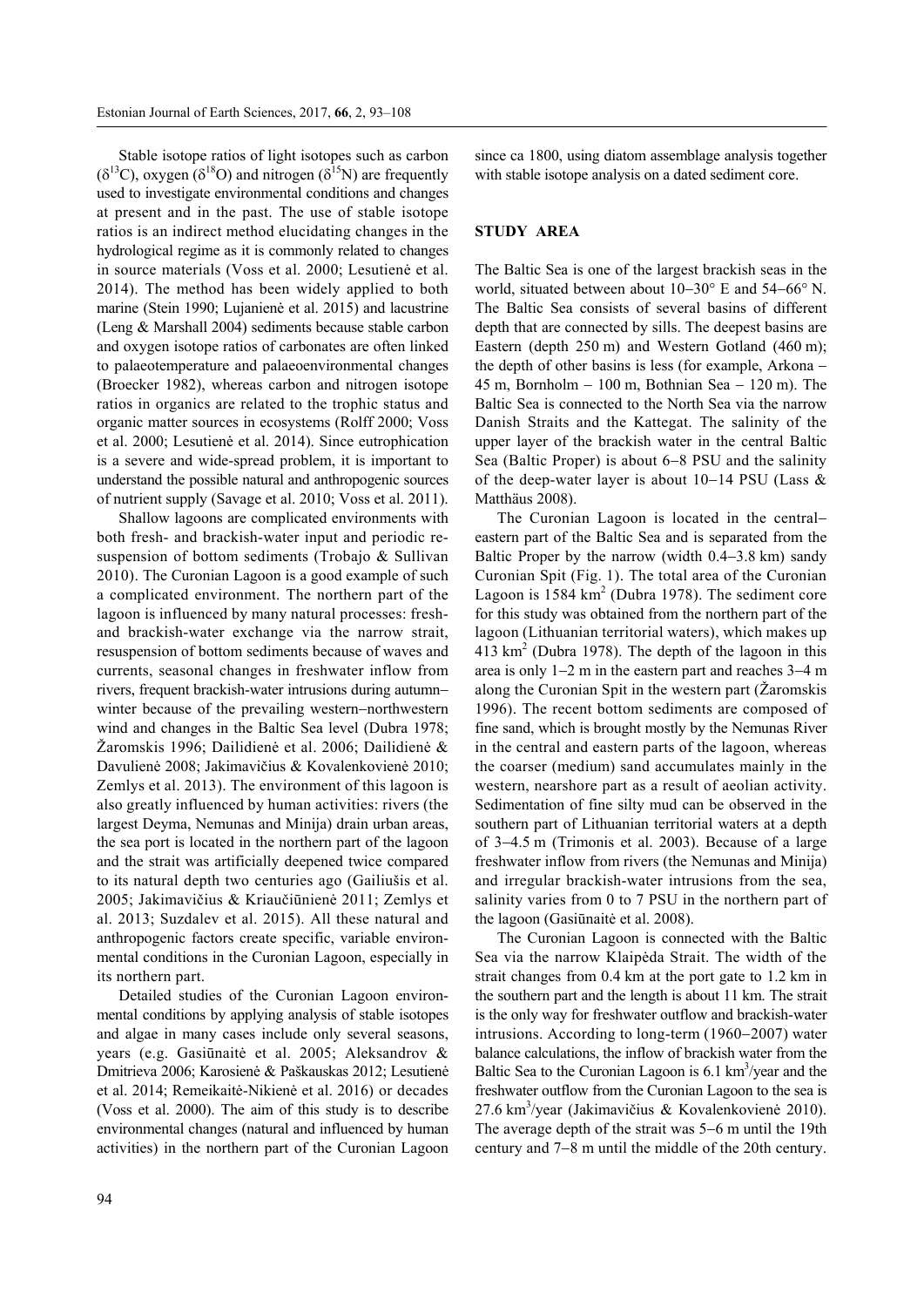Stable isotope ratios of light isotopes such as carbon  $(\delta^{13}C)$ , oxygen  $(\delta^{18}O)$  and nitrogen  $(\delta^{15}N)$  are frequently used to investigate environmental conditions and changes at present and in the past. The use of stable isotope ratios is an indirect method elucidating changes in the hydrological regime as it is commonly related to changes in source materials (Voss et al. 2000; Lesutienė et al. 2014). The method has been widely applied to both marine (Stein 1990; Lujanienė et al. 2015) and lacustrine (Leng & Marshall 2004) sediments because stable carbon and oxygen isotope ratios of carbonates are often linked to palaeotemperature and palaeoenvironmental changes (Broecker 1982), whereas carbon and nitrogen isotope ratios in organics are related to the trophic status and organic matter sources in ecosystems (Rolff 2000; Voss et al. 2000; Lesutienė et al. 2014). Since eutrophication is a severe and wide-spread problem, it is important to understand the possible natural and anthropogenic sources of nutrient supply (Savage et al. 2010; Voss et al. 2011).

Shallow lagoons are complicated environments with both fresh- and brackish-water input and periodic resuspension of bottom sediments (Trobajo & Sullivan 2010). The Curonian Lagoon is a good example of such a complicated environment. The northern part of the lagoon is influenced by many natural processes: freshand brackish-water exchange via the narrow strait, resuspension of bottom sediments because of waves and currents, seasonal changes in freshwater inflow from rivers, frequent brackish-water intrusions during autumn winter because of the prevailing western-northwestern wind and changes in the Baltic Sea level (Dubra 1978; Žaromskis 1996; Dailidienė et al. 2006; Dailidienė & Davulienė 2008; Jakimavičius & Kovalenkovienė 2010; Zemlys et al. 2013). The environment of this lagoon is also greatly influenced by human activities: rivers (the largest Deyma, Nemunas and Minija) drain urban areas, the sea port is located in the northern part of the lagoon and the strait was artificially deepened twice compared to its natural depth two centuries ago (Gailiušis et al. 2005; Jakimavičius & Kriaučiūnienė 2011; Zemlys et al. 2013; Suzdalev et al. 2015). All these natural and anthropogenic factors create specific, variable environmental conditions in the Curonian Lagoon, especially in its northern part.

Detailed studies of the Curonian Lagoon environmental conditions by applying analysis of stable isotopes and algae in many cases include only several seasons, years (e.g. Gasiūnaitė et al. 2005; Aleksandrov & Dmitrieva 2006; Karosienė & Paškauskas 2012; Lesutienė et al. 2014; Remeikaitė-Nikienė et al. 2016) or decades (Voss et al. 2000). The aim of this study is to describe environmental changes (natural and influenced by human activities) in the northern part of the Curonian Lagoon since ca 1800, using diatom assemblage analysis together with stable isotope analysis on a dated sediment core.

## **STUDY AREA**

The Baltic Sea is one of the largest brackish seas in the world, situated between about  $10-30^{\circ}$  E and  $54-66^{\circ}$  N. The Baltic Sea consists of several basins of different depth that are connected by sills. The deepest basins are Eastern (depth 250 m) and Western Gotland (460 m); the depth of other basins is less (for example, Arkona 45 m, Bornholm  $-100$  m, Bothnian Sea  $-120$  m). The Baltic Sea is connected to the North Sea via the narrow Danish Straits and the Kattegat. The salinity of the upper layer of the brackish water in the central Baltic Sea (Baltic Proper) is about  $6-8$  PSU and the salinity of the deep-water layer is about  $10-14$  PSU (Lass  $\&$ Matthäus 2008).

The Curonian Lagoon is located in the central eastern part of the Baltic Sea and is separated from the Baltic Proper by the narrow (width  $0.4-3.8$  km) sandy Curonian Spit (Fig. 1). The total area of the Curonian Lagoon is  $1584 \text{ km}^2$  (Dubra 1978). The sediment core for this study was obtained from the northern part of the lagoon (Lithuanian territorial waters), which makes up  $413 \text{ km}^2$  (Dubra 1978). The depth of the lagoon in this area is only  $1-2$  m in the eastern part and reaches  $3-4$  m along the Curonian Spit in the western part (Žaromskis 1996). The recent bottom sediments are composed of fine sand, which is brought mostly by the Nemunas River in the central and eastern parts of the lagoon, whereas the coarser (medium) sand accumulates mainly in the western, nearshore part as a result of aeolian activity. Sedimentation of fine silty mud can be observed in the southern part of Lithuanian territorial waters at a depth of 34.5 m (Trimonis et al. 2003). Because of a large freshwater inflow from rivers (the Nemunas and Minija) and irregular brackish-water intrusions from the sea, salinity varies from 0 to 7 PSU in the northern part of the lagoon (Gasiūnaitė et al. 2008).

The Curonian Lagoon is connected with the Baltic Sea via the narrow Klaipėda Strait. The width of the strait changes from 0.4 km at the port gate to 1.2 km in the southern part and the length is about 11 km. The strait is the only way for freshwater outflow and brackish-water intrusions. According to long-term  $(1960-2007)$  water balance calculations, the inflow of brackish water from the Baltic Sea to the Curonian Lagoon is  $6.1 \text{ km}^3/\text{year}$  and the freshwater outflow from the Curonian Lagoon to the sea is 27.6 km3 /year (Jakimavičius & Kovalenkovienė 2010). The average depth of the strait was  $5-6$  m until the 19th century and 7-8 m until the middle of the 20th century.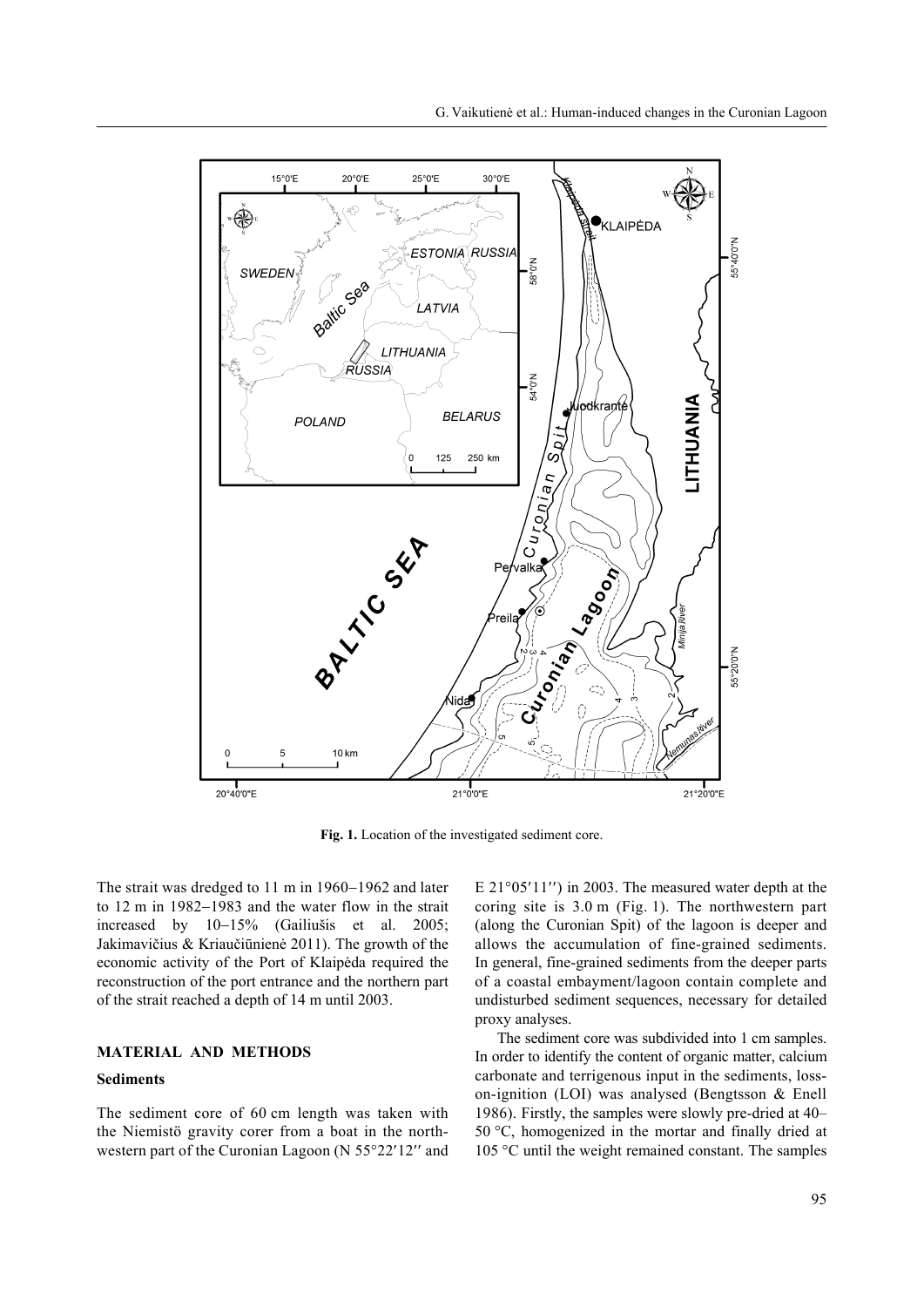

**Fig. 1.** Location of the investigated sediment core.

The strait was dredged to  $11 \text{ m}$  in  $1960 - 1962$  and later to  $12 \text{ m}$  in  $1982-1983$  and the water flow in the strait increased by  $10-15%$  (Gailiušis et al. 2005; Jakimavičius & Kriaučiūnienė 2011). The growth of the economic activity of the Port of Klaipėda required the reconstruction of the port entrance and the northern part of the strait reached a depth of 14 m until 2003.

### **MATERIAL AND METHODS**

#### **Sediments**

The sediment core of 60 cm length was taken with the Niemistö gravity corer from a boat in the northwestern part of the Curonian Lagoon (N  $55^{\circ}22'12''$  and E  $21^{\circ}05'11''$  in 2003. The measured water depth at the coring site is 3.0 m (Fig. 1). The northwestern part (along the Curonian Spit) of the lagoon is deeper and allows the accumulation of fine-grained sediments. In general, fine-grained sediments from the deeper parts of a coastal embayment/lagoon contain complete and undisturbed sediment sequences, necessary for detailed proxy analyses.

The sediment core was subdivided into 1 cm samples. In order to identify the content of organic matter, calcium carbonate and terrigenous input in the sediments, losson-ignition (LOI) was analysed (Bengtsson & Enell 1986). Firstly, the samples were slowly pre-dried at 40– 50 °C, homogenized in the mortar and finally dried at 105 °C until the weight remained constant. The samples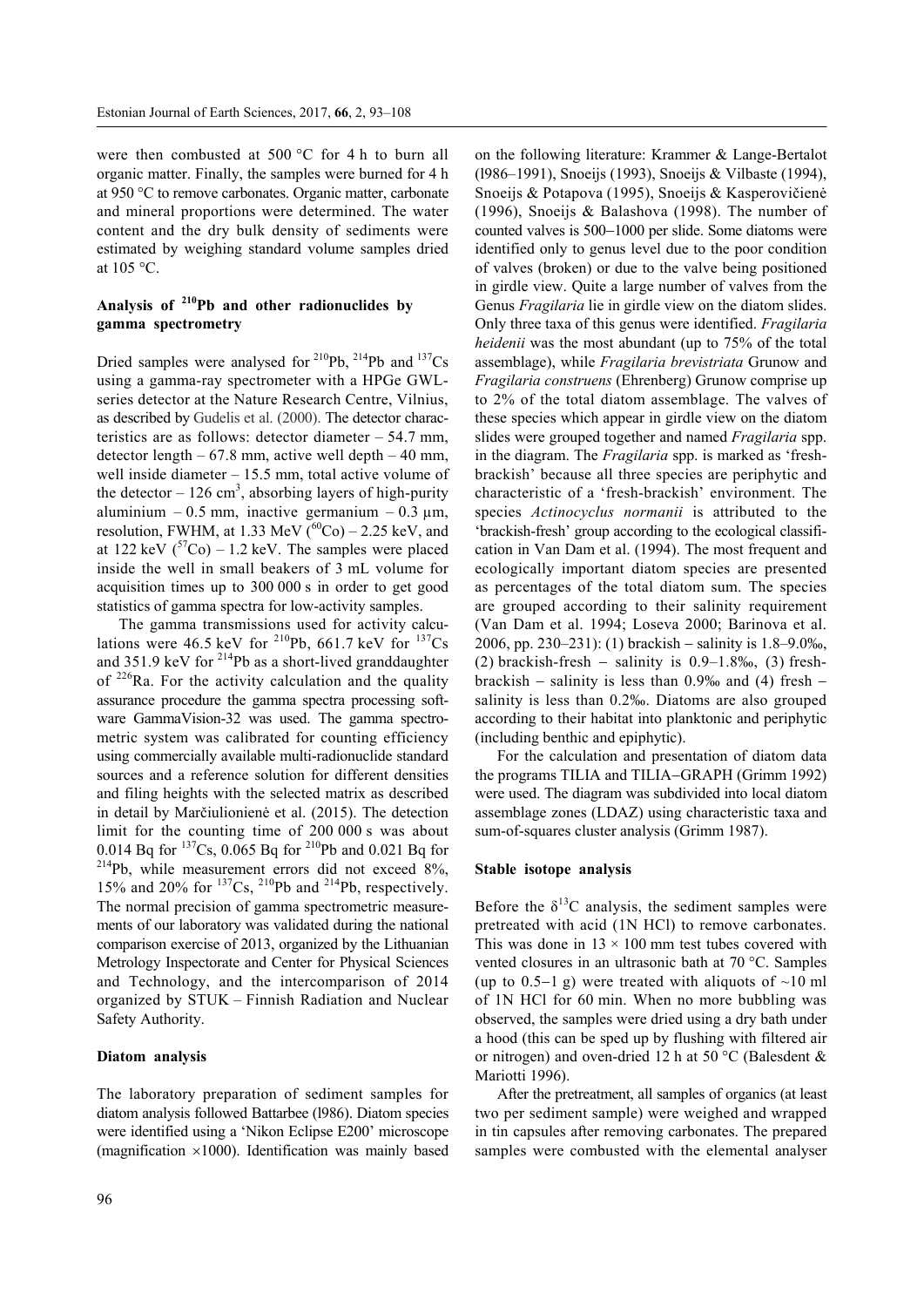were then combusted at 500 °C for 4 h to burn all organic matter. Finally, the samples were burned for 4 h at 950 °C to remove carbonates. Organic matter, carbonate and mineral proportions were determined. The water content and the dry bulk density of sediments were estimated by weighing standard volume samples dried at 105 °C.

## **Analysis of 210Pb and other radionuclides by gamma spectrometry**

Dried samples were analysed for <sup>210</sup>Pb, <sup>214</sup>Pb and <sup>137</sup>Cs using a gamma-ray spectrometer with a HPGe GWLseries detector at the Nature Research Centre, Vilnius, as described by Gudelis et al. (2000). The detector characteristics are as follows: detector diameter – 54.7 mm, detector length  $-67.8$  mm, active well depth  $-40$  mm, well inside diameter – 15.5 mm, total active volume of the detector  $-126$  cm<sup>3</sup>, absorbing layers of high-purity aluminium – 0.5 mm, inactive germanium – 0.3  $\mu$ m, resolution, FWHM, at 1.33 MeV  $(60)$ Co) – 2.25 keV, and at 122 keV  $({}^{57}Co) - 1.2$  keV. The samples were placed inside the well in small beakers of 3 mL volume for acquisition times up to 300 000 s in order to get good statistics of gamma spectra for low-activity samples.

The gamma transmissions used for activity calculations were 46.5 keV for  $^{210}Pb$ , 661.7 keV for  $^{137}Cs$ and 351.9 keV for  $^{214}Pb$  as a short-lived granddaughter of  $226$ Ra. For the activity calculation and the quality assurance procedure the gamma spectra processing software GammaVision-32 was used. The gamma spectrometric system was calibrated for counting efficiency using commercially available multi-radionuclide standard sources and a reference solution for different densities and filing heights with the selected matrix as described in detail by Marčiulionienė et al. (2015). The detection limit for the counting time of 200 000 s was about 0.014 Bq for  $^{137}Cs$ , 0.065 Bq for  $^{210}Pb$  and 0.021 Bq for  $214$ Pb, while measurement errors did not exceed 8%, 15% and 20% for  $^{137}Cs$ ,  $^{210}Pb$  and  $^{214}Pb$ , respectively. The normal precision of gamma spectrometric measurements of our laboratory was validated during the national comparison exercise of 2013, organized by the Lithuanian Metrology Inspectorate and Center for Physical Sciences and Technology, and the intercomparison of 2014 organized by STUK – Finnish Radiation and Nuclear Safety Authority.

#### **Diatom analysis**

The laboratory preparation of sediment samples for diatom analysis followed Battarbee (l986). Diatom species were identified using а 'Nikon Eclipse Е200' microscope (magnification  $\times 1000$ ). Identification was mainly based on the following literature: Krammer & Lange-Bertalot (l986–1991), Snoeijs (1993), Snoeijs & Vilbaste (1994), Snoeijs & Potapova (1995), Snoeijs & Kasperovičienė (1996), Snoeijs & Balashova (1998). The number of counted valves is 500-1000 per slide. Some diatoms were identified only to genus level due to the poor condition of valves (broken) or due to the valve being positioned in girdle view. Quite a large number of valves from the Genus *Fragilaria* lie in girdle view on the diatom slides. Only three taxa of this genus were identified. *Fragilaria heidenii* was the most abundant (up to 75% of the total assemblage), while *Fragilaria brevistriata* Grunow and *Fragilaria construens* (Ehrenberg) Grunow comprise up to 2% of the total diatom assemblage. The valves of these species which appear in girdle view on the diatom slides were grouped together and named *Fragilaria* spp. in the diagram. The *Fragilaria* spp. is marked as 'freshbrackish' because all three species are periphytic and characteristic of a 'fresh-brackish' environment. The species *Actinocyclus normanii* is attributed to the 'brackish-fresh' group according to the ecological classification in Van Dam et al. (1994). The most frequent and ecologically important diatom species are presented as percentages of the total diatom sum. The species are grouped according to their salinity requirement (Van Dam et аl. 1994; Loseva 2000; Barinova et al. 2006, pp. 230–231): (1) brackish – salinity is  $1.8-9.0\%$ , (2) brackish-fresh  $-$  salinity is 0.9–1.8‰, (3) freshbrackish  $-$  salinity is less than 0.9‰ and (4) fresh  $$ salinity is less than 0.2‰. Diatoms are also grouped according to their habitat into planktonic and periphytic (including benthic and epiphytic).

For the calculation and presentation of diatom data the programs TILIA and TILIA–GRAPH (Grimm 1992) were used. The diagram was subdivided into local diatom assemblage zones (LDAZ) using characteristic taxa and sum-of-squares cluster analysis (Grimm 1987).

#### **Stable isotope analysis**

Before the  $\delta^{13}$ C analysis, the sediment samples were pretreated with acid (1N HCl) to remove carbonates. This was done in  $13 \times 100$  mm test tubes covered with vented closures in an ultrasonic bath at 70 °C. Samples (up to 0.5–1 g) were treated with aliquots of  $\sim$ 10 ml of 1N HCl for 60 min. When no more bubbling was observed, the samples were dried using a dry bath under a hood (this can be sped up by flushing with filtered air or nitrogen) and oven-dried 12 h at 50 °C (Balesdent & Mariotti 1996).

After the pretreatment, all samples of organics (at least two per sediment sample) were weighed and wrapped in tin capsules after removing carbonates. The prepared samples were combusted with the elemental analyser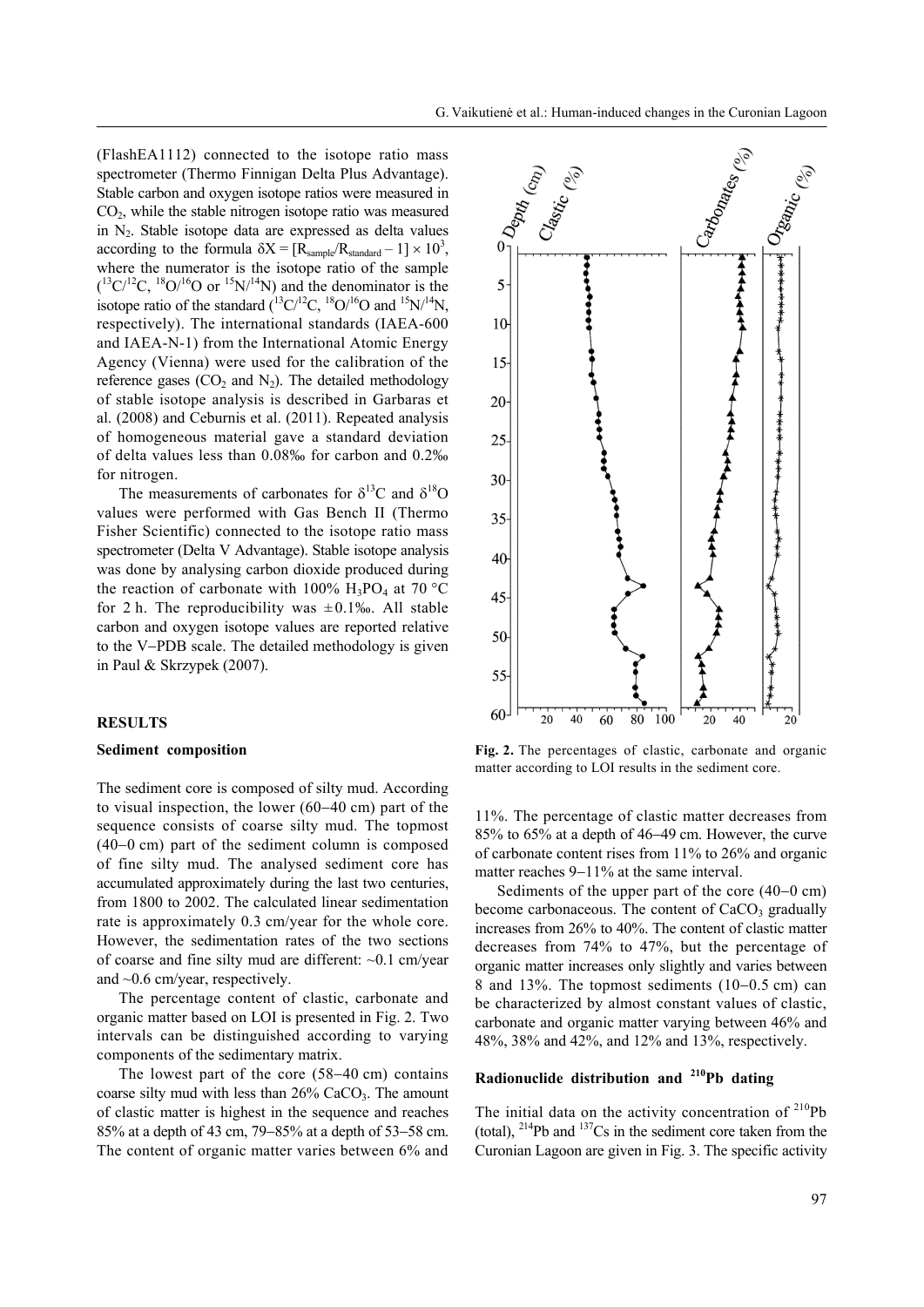(FlashEA1112) connected to the isotope ratio mass spectrometer (Thermo Finnigan Delta Plus Advantage). Stable carbon and oxygen isotope ratios were measured in CO2, while the stable nitrogen isotope ratio was measured in  $N_2$ . Stable isotope data are expressed as delta values according to the formula  $\delta X = [R_{sample}/R_{standard} - 1] \times 10^3$ , where the numerator is the isotope ratio of the sample  $(^{13}C/^{12}C,~^{18}O/^{16}O$  or  $^{15}N/^{14}N)$  and the denominator is the isotope ratio of the standard  $(^{13}C^{12}C,~^{18}O^{16}O$  and  $^{15}N^{14}N,$ respectively). The international standards (IAEA-600 and IAEA-N-1) from the International Atomic Energy Agency (Vienna) were used for the calibration of the reference gases  $(CO<sub>2</sub>$  and  $N<sub>2</sub>$ ). The detailed methodology of stable isotope analysis is described in Garbaras et al. (2008) and Ceburnis et al. (2011). Repeated analysis of homogeneous material gave a standard deviation of delta values less than 0.08‰ for carbon and 0.2‰ for nitrogen.

The measurements of carbonates for  $\delta^{13}$ C and  $\delta^{18}$ O values were performed with Gas Bench II (Thermo Fisher Scientific) connected to the isotope ratio mass spectrometer (Delta V Advantage). Stable isotope analysis was done by analysing carbon dioxide produced during the reaction of carbonate with 100%  $H_3PO_4$  at 70 °C for 2 h. The reproducibility was  $\pm 0.1\%$ . All stable carbon and oxygen isotope values are reported relative to the V-PDB scale. The detailed methodology is given in Paul & Skrzypek (2007).

#### **RESULTS**

#### **Sediment composition**

The sediment core is composed of silty mud. According to visual inspection, the lower  $(60-40 \text{ cm})$  part of the sequence consists of coarse silty mud. The topmost  $(40-0 \text{ cm})$  part of the sediment column is composed of fine silty mud. The analysed sediment core has accumulated approximately during the last two centuries, from 1800 to 2002. The calculated linear sedimentation rate is approximately 0.3 cm/year for the whole core. However, the sedimentation rates of the two sections of coarse and fine silty mud are different: ~0.1 cm/year and ~0.6 cm/year, respectively.

The percentage content of clastic, carbonate and organic matter based on LOI is presented in Fig. 2. Two intervals can be distinguished according to varying components of the sedimentary matrix.

The lowest part of the core  $(58-40 \text{ cm})$  contains coarse silty mud with less than  $26\%$  CaCO<sub>3</sub>. The amount of clastic matter is highest in the sequence and reaches 85% at a depth of 43 cm,  $79 - 85%$  at a depth of 53-58 cm. The content of organic matter varies between 6% and



**Fig. 2.** The percentages of clastic, carbonate and organic matter according to LOI results in the sediment core.

11%. The percentage of clastic matter decreases from  $85\%$  to  $65\%$  at a depth of  $46-49$  cm. However, the curve of carbonate content rises from 11% to 26% and organic matter reaches  $9-11\%$  at the same interval.

Sediments of the upper part of the core  $(40-0 \text{ cm})$ become carbonaceous. The content of  $CaCO<sub>3</sub>$  gradually increases from 26% to 40%. The content of clastic matter decreases from 74% to 47%, but the percentage of organic matter increases only slightly and varies between 8 and 13%. The topmost sediments  $(10-0.5 \text{ cm})$  can be characterized by almost constant values of clastic, carbonate and organic matter varying between 46% and 48%, 38% and 42%, and 12% and 13%, respectively.

## **Radionuclide distribution and 210Pb dating**

The initial data on the activity concentration of  $2^{10}Pb$ (total),  $^{214}Pb$  and  $^{137}Cs$  in the sediment core taken from the Curonian Lagoon are given in Fig. 3. The specific activity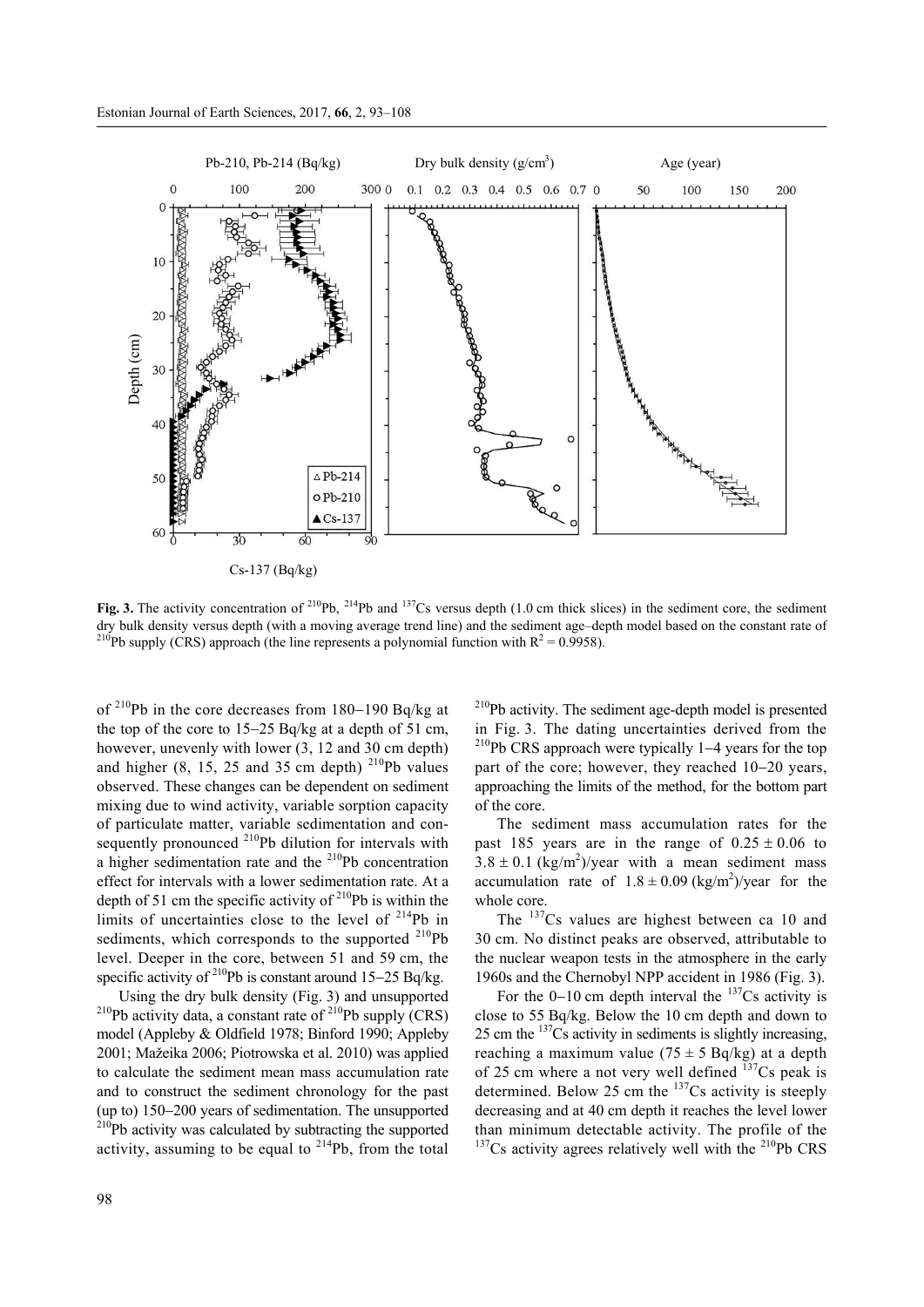

Fig. 3. The activity concentration of <sup>210</sup>Pb, <sup>214</sup>Pb and <sup>137</sup>Cs versus depth (1.0 cm thick slices) in the sediment core, the sediment dry bulk density versus depth (with a moving average trend line) and the sediment age–depth model based on the constant rate of <sup>210</sup>Pb supply (CRS) approach (the line represents a polynomial function with  $R^2 = 0.9958$ ).

of  $^{210}$ Pb in the core decreases from 180-190 Bq/kg at the top of the core to  $15-25$  Bq/kg at a depth of 51 cm, however, unevenly with lower (3, 12 and 30 cm depth) and higher  $(8, 15, 25, 25, 35)$  cm depth)  $^{210}$ Pb values observed. These changes can be dependent on sediment mixing due to wind activity, variable sorption capacity of particulate matter, variable sedimentation and consequently pronounced <sup>210</sup>Pb dilution for intervals with a higher sedimentation rate and the  $210Pb$  concentration effect for intervals with a lower sedimentation rate. At a depth of 51 cm the specific activity of  $2^{10}Pb$  is within the limits of uncertainties close to the level of 214Pb in sediments, which corresponds to the supported  $^{210}Pb$ level. Deeper in the core, between 51 and 59 cm, the specific activity of  $^{210}Pb$  is constant around 15-25 Bq/kg.

Using the dry bulk density (Fig. 3) and unsupported <sup>210</sup>Pb activity data, a constant rate of <sup>210</sup>Pb supply (CRS) model (Appleby & Oldfield 1978; Binford 1990; Appleby 2001; Mažeika 2006; Piotrowska et al. 2010) was applied to calculate the sediment mean mass accumulation rate and to construct the sediment chronology for the past (up to)  $150-200$  years of sedimentation. The unsupported  $^{210}Pb$  activity was calculated by subtracting the supported activity, assuming to be equal to  $^{214}Pb$ , from the total 210Pb activity. The sediment age-depth model is presented in Fig. 3. The dating uncertainties derived from the  $^{210}Pb$  CRS approach were typically 1-4 years for the top part of the core; however, they reached  $10-20$  years, approaching the limits of the method, for the bottom part of the core.

The sediment mass accumulation rates for the past 185 years are in the range of  $0.25 \pm 0.06$  to  $3.8 \pm 0.1$  (kg/m<sup>2</sup>)/year with a mean sediment mass accumulation rate of  $1.8 \pm 0.09$  (kg/m<sup>2</sup>)/year for the whole core.

The <sup>137</sup>Cs values are highest between ca 10 and 30 cm. No distinct peaks are observed, attributable to the nuclear weapon tests in the atmosphere in the early 1960s and the Chernobyl NPP accident in 1986 (Fig. 3).

For the  $0-10$  cm depth interval the  $137$ Cs activity is close to 55 Bq/kg. Below the 10 cm depth and down to 25 cm the 137Cs activity in sediments is slightly increasing, reaching a maximum value ( $75 \pm 5$  Bq/kg) at a depth of 25 cm where a not very well defined  $137$ Cs peak is determined. Below 25 cm the  $^{137}Cs$  activity is steeply decreasing and at 40 cm depth it reaches the level lower than minimum detectable activity. The profile of the  $137Cs$  activity agrees relatively well with the  $210Pb$  CRS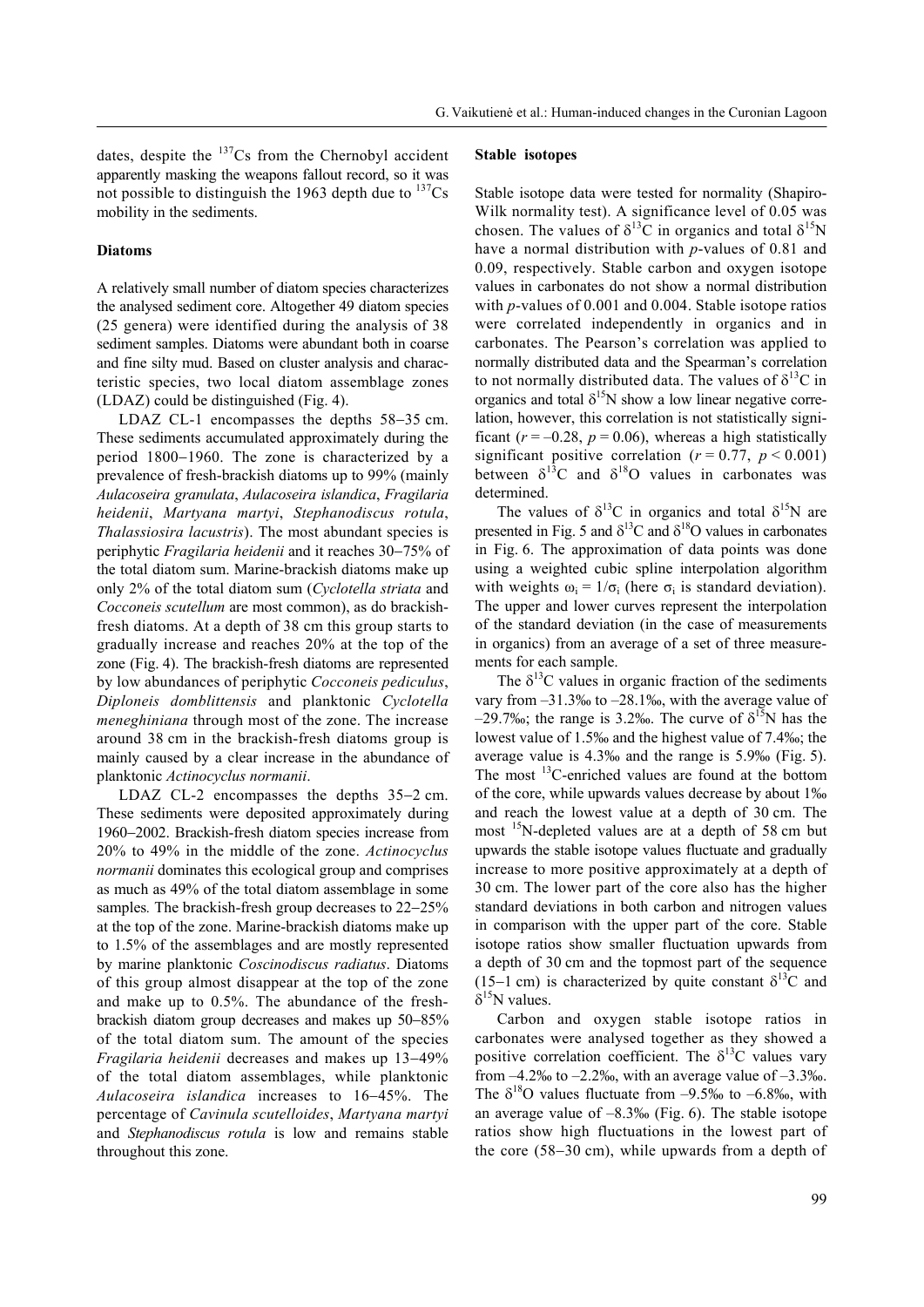dates, despite the  $137Cs$  from the Chernobyl accident apparently masking the weapons fallout record, so it was not possible to distinguish the 1963 depth due to  $137Cs$ mobility in the sediments.

#### **Diatoms**

A relatively small number of diatom species characterizes the analysed sediment core. Altogether 49 diatom species (25 genera) were identified during the analysis of 38 sediment samples. Diatoms were abundant both in coarse and fine silty mud. Based on cluster analysis and characteristic species, two local diatom assemblage zones (LDAZ) could be distinguished (Fig. 4).

LDAZ CL-1 encompasses the depths  $58-35$  cm. These sediments accumulated approximately during the period  $1800-1960$ . The zone is characterized by a prevalence of fresh-brackish diatoms up to 99% (mainly *Aulacoseira granulata*, *Aulacoseira islandica*, *Fragilaria heidenii*, *Martyana martyi*, *Stephanodiscus rotula*, *Thalassiosira lacustris*). The most abundant species is periphytic *Fragilaria heidenii* and it reaches 30-75% of the total diatom sum. Marine-brackish diatoms make up only 2% of the total diatom sum (*Cyclotella striata* and *Cocconeis scutellum* are most common), as do brackishfresh diatoms. At a depth of 38 cm this group starts to gradually increase and reaches 20% at the top of the zone (Fig. 4). The brackish-fresh diatoms are represented by low abundances of periphytic *Cocconeis pediculus*, *Diploneis domblittensis* and planktonic *Cyclotella meneghiniana* through most of the zone. The increase around 38 cm in the brackish-fresh diatoms group is mainly caused by a clear increase in the abundance of planktonic *Actinocyclus normanii*.

LDAZ CL-2 encompasses the depths  $35-2$  cm. These sediments were deposited approximately during 1960–2002. Brackish-fresh diatom species increase from 20% to 49% in the middle of the zone. *Actinocyclus normanii* dominates this ecological group and comprises as much as 49% of the total diatom assemblage in some samples. The brackish-fresh group decreases to 22-25% at the top of the zone. Marine-brackish diatoms make up to 1.5% of the assemblages and are mostly represented by marine planktonic *Coscinodiscus radiatus*. Diatoms of this group almost disappear at the top of the zone and make up to 0.5%. The abundance of the freshbrackish diatom group decreases and makes up  $50-85%$ of the total diatom sum. The amount of the species *Fragilaria heidenii* decreases and makes up 13-49% of the total diatom assemblages, while planktonic Aulacoseira *islandica* increases to 16-45%. The percentage of *Cavinula scutelloides*, *Martyana martyi*  and *Stephanodiscus rotula* is low and remains stable throughout this zone.

#### **Stable isotopes**

Stable isotope data were tested for normality (Shapiro-Wilk normality test). A significance level of 0.05 was chosen. The values of  $\delta^{13}$ C in organics and total  $\delta^{15}$ N have a normal distribution with *p*-values of 0.81 and 0.09, respectively. Stable carbon and oxygen isotope values in carbonates do not show a normal distribution with *p*-values of 0.001 and 0.004. Stable isotope ratios were correlated independently in organics and in carbonates. The Pearson's correlation was applied to normally distributed data and the Spearman's correlation to not normally distributed data. The values of  $\delta^{13}C$  in organics and total  $\delta^{15}N$  show a low linear negative correlation, however, this correlation is not statistically significant ( $r = -0.28$ ,  $p = 0.06$ ), whereas a high statistically significant positive correlation ( $r = 0.77$ ,  $p < 0.001$ ) between  $\delta^{13}$ C and  $\delta^{18}$ O values in carbonates was determined.

The values of  $\delta^{13}$ C in organics and total  $\delta^{15}$ N are presented in Fig. 5 and  $\delta^{13}$ C and  $\delta^{18}$ O values in carbonates in Fig. 6. The approximation of data points was done using a weighted cubic spline interpolation algorithm with weights  $\omega_i = 1/\sigma_i$  (here  $\sigma_i$  is standard deviation). The upper and lower curves represent the interpolation of the standard deviation (in the case of measurements in organics) from an average of a set of three measurements for each sample.

The  $\delta^{13}$ C values in organic fraction of the sediments vary from –31.3‰ to –28.1‰, with the average value of  $-29.7\%$ ; the range is 3.2‰. The curve of  $\delta^{15}N$  has the lowest value of 1.5‰ and the highest value of 7.4‰; the average value is 4.3‰ and the range is 5.9‰ (Fig. 5). The most 13C-enriched values are found at the bottom of the core, while upwards values decrease by about 1‰ and reach the lowest value at a depth of 30 cm. The most <sup>15</sup>N-depleted values are at a depth of 58 cm but upwards the stable isotope values fluctuate and gradually increase to more positive approximately at a depth of 30 cm. The lower part of the core also has the higher standard deviations in both carbon and nitrogen values in comparison with the upper part of the core. Stable isotope ratios show smaller fluctuation upwards from a depth of 30 cm and the topmost part of the sequence (15–1 cm) is characterized by quite constant  $\delta^{13}C$  and  $\delta^{15}$ N values.

Carbon and oxygen stable isotope ratios in carbonates were analysed together as they showed a positive correlation coefficient. The  $\delta^{13}$ C values vary from  $-4.2\%$  to  $-2.2\%$ , with an average value of  $-3.3\%$ . The  $\delta^{18}$ O values fluctuate from –9.5‰ to –6.8‰, with an average value of  $-8.3\%$  (Fig. 6). The stable isotope ratios show high fluctuations in the lowest part of the core  $(58-30 \text{ cm})$ , while upwards from a depth of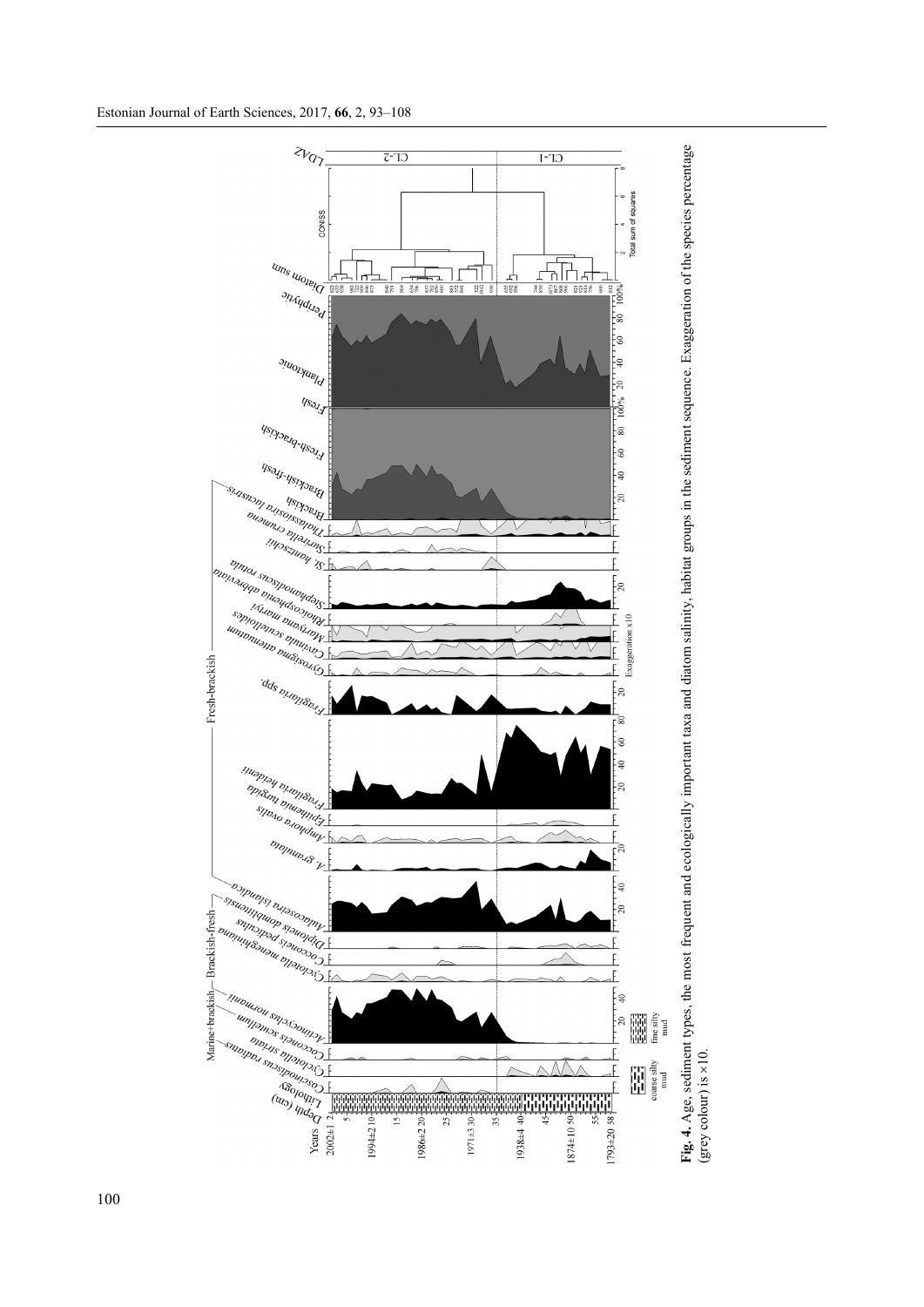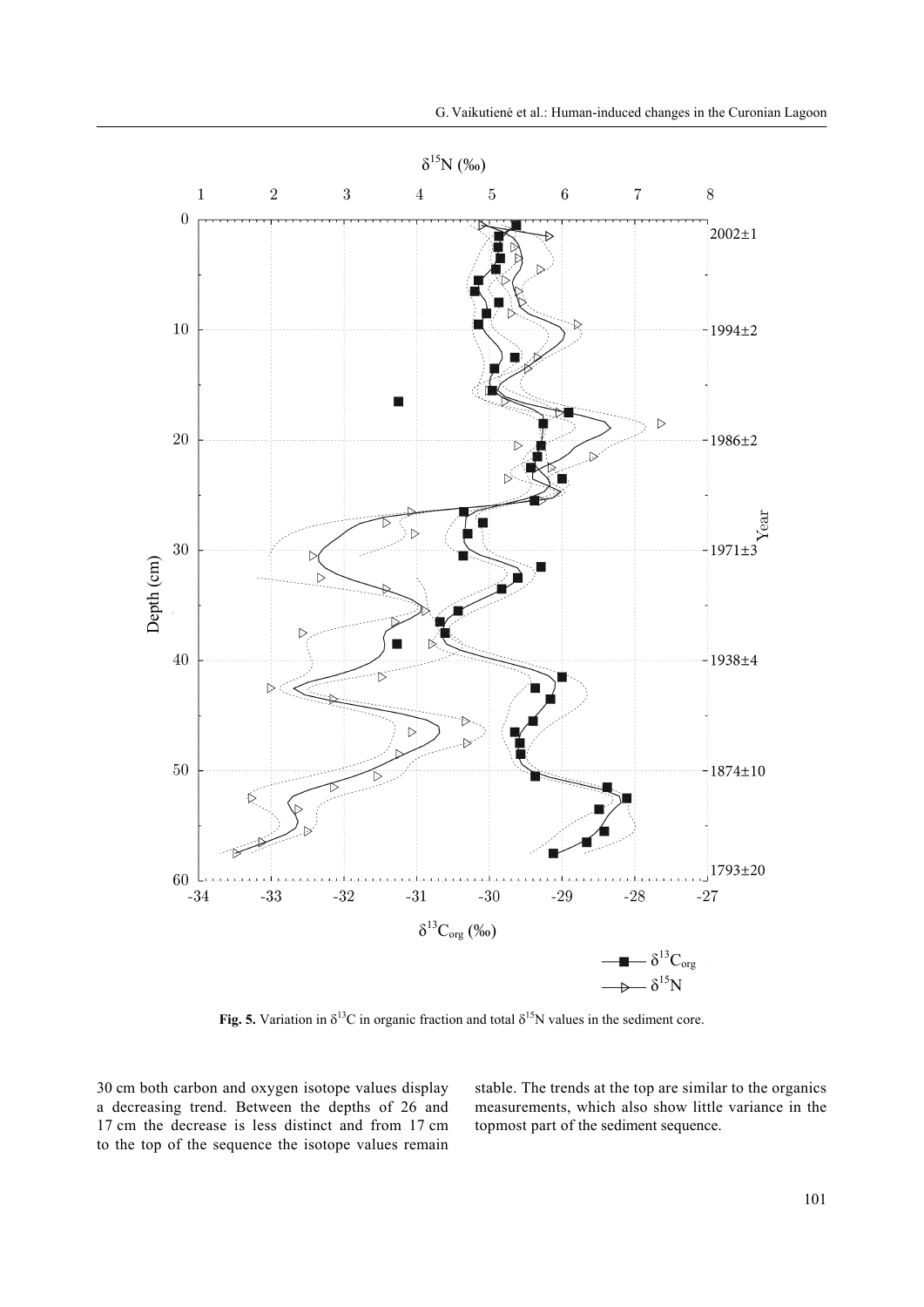

**Fig. 5.** Variation in  $\delta^{13}C$  in organic fraction and total  $\delta^{15}N$  values in the sediment core.

30 cm both carbon and oxygen isotope values display a decreasing trend. Between the depths of 26 and 17 cm the decrease is less distinct and from 17 cm to the top of the sequence the isotope values remain stable. The trends at the top are similar to the organics measurements, which also show little variance in the topmost part of the sediment sequence.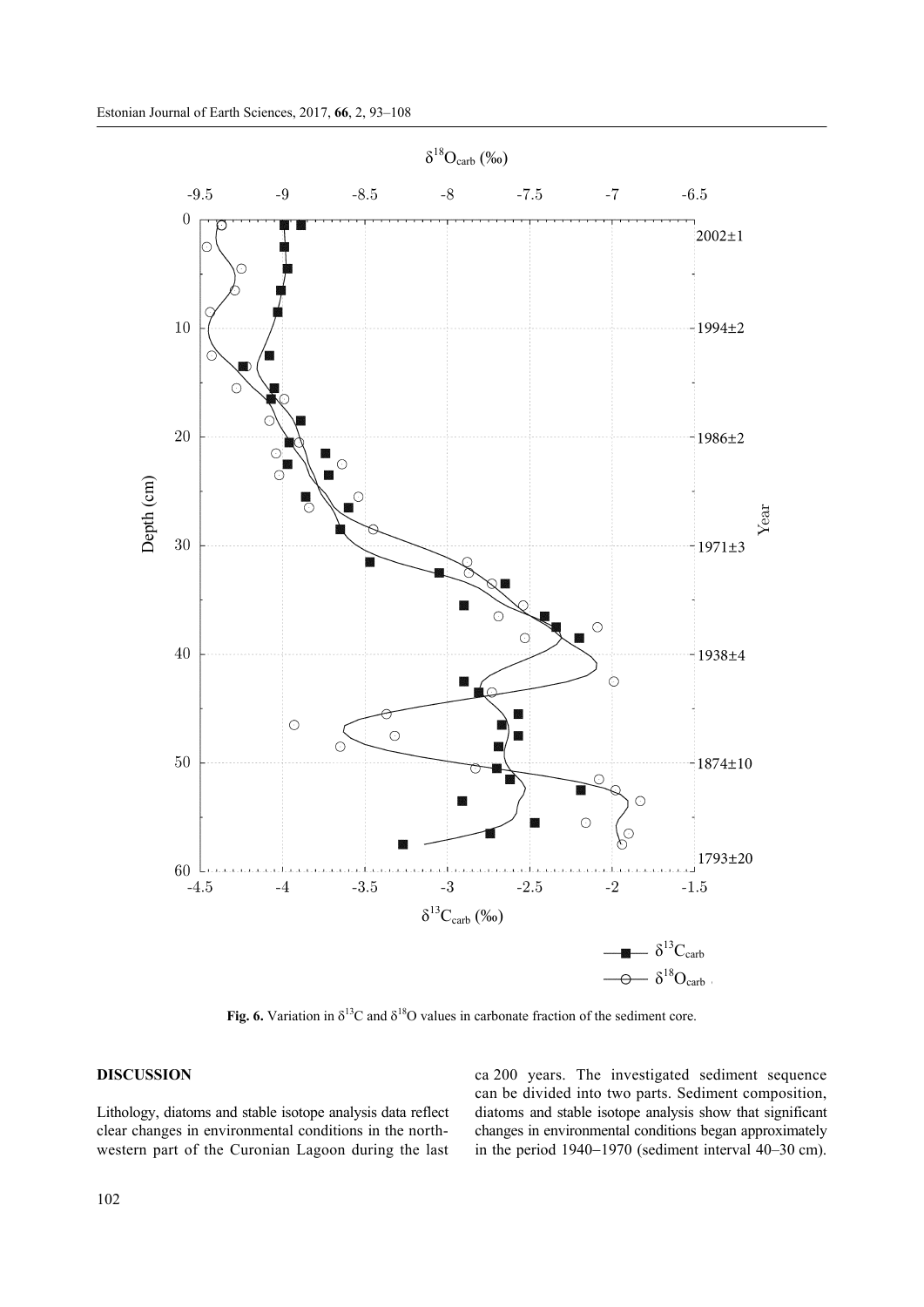

**Fig. 6.** Variation in  $\delta^{13}C$  and  $\delta^{18}O$  values in carbonate fraction of the sediment core.

## **DISCUSSION**

Lithology, diatoms and stable isotope analysis data reflect clear changes in environmental conditions in the northwestern part of the Curonian Lagoon during the last ca 200 years. The investigated sediment sequence can be divided into two parts. Sediment composition, diatoms and stable isotope analysis show that significant changes in environmental conditions began approximately in the period  $1940-1970$  (sediment interval  $40-30$  cm).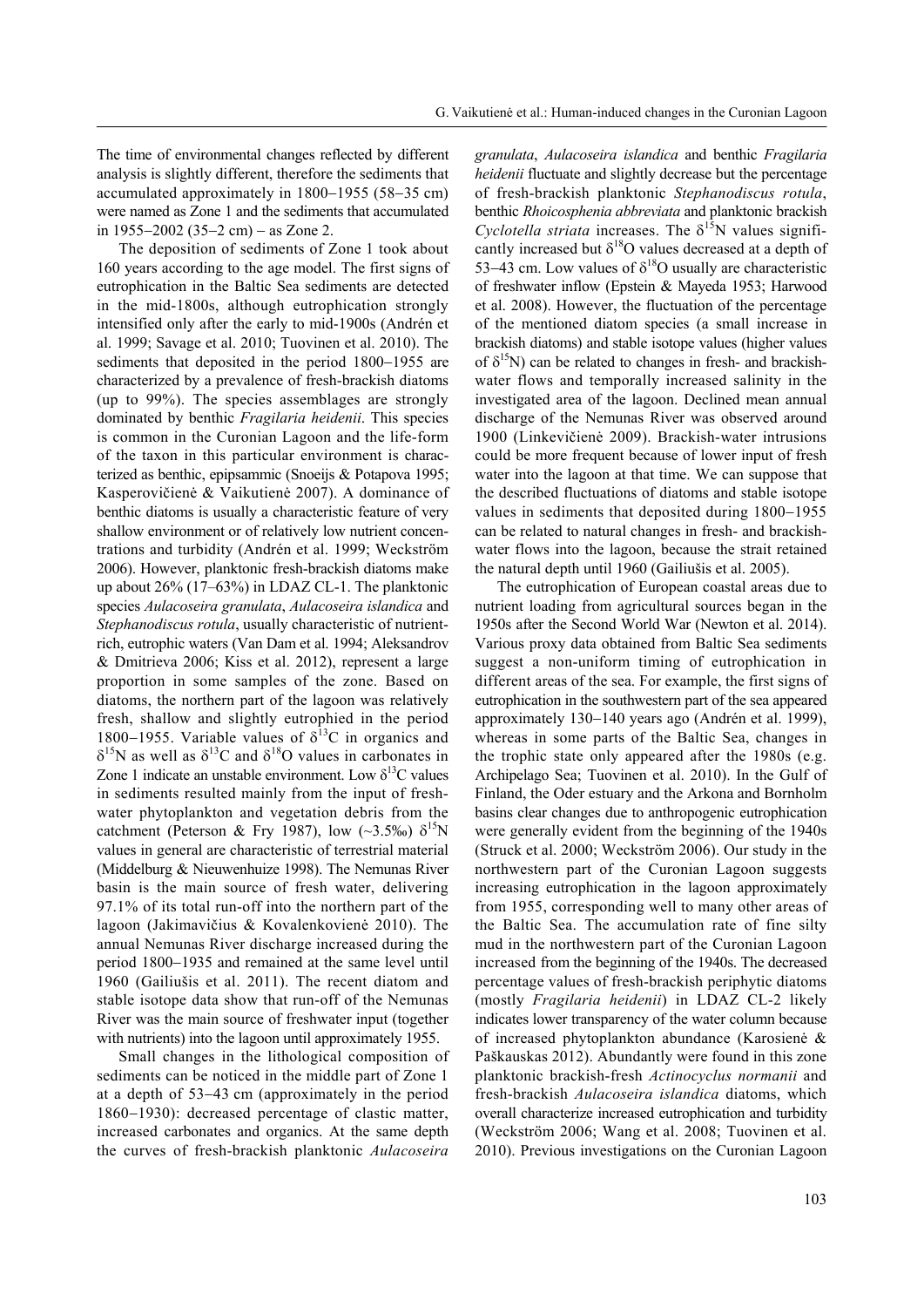The time of environmental changes reflected by different analysis is slightly different, therefore the sediments that accumulated approximately in  $1800-1955$  (58-35 cm) were named as Zone 1 and the sediments that accumulated in 1955–2002 (35–2 cm) – as Zone 2.

The deposition of sediments of Zone 1 took about 160 years according to the age model. The first signs of eutrophication in the Baltic Sea sediments are detected in the mid-1800s, although eutrophication strongly intensified only after the early to mid-1900s (Andrén et al. 1999; Savage et al. 2010; Tuovinen et al. 2010). The sediments that deposited in the period 1800–1955 are characterized by a prevalence of fresh-brackish diatoms (up to 99%). The species assemblages are strongly dominated by benthic *Fragilaria heidenii*. This species is common in the Curonian Lagoon and the life-form of the taxon in this particular environment is characterized as benthic, epipsammic (Snoeijs & Potapova 1995; Kasperovičienė & Vaikutienė 2007). A dominance of benthic diatoms is usually a characteristic feature of very shallow environment or of relatively low nutrient concentrations and turbidity (Andrén et al. 1999; Weckström 2006). However, planktonic fresh-brackish diatoms make up about 26% (17–63%) in LDAZ CL-1. The planktonic species *Aulacoseira granulata*, *Aulacoseira islandica* and *Stephanodiscus rotula*, usually characteristic of nutrientrich, eutrophic waters (Van Dam et al. 1994; Aleksandrov & Dmitrieva 2006; Kiss et al. 2012), represent a large proportion in some samples of the zone. Based on diatoms, the northern part of the lagoon was relatively fresh, shallow and slightly eutrophied in the period 1800–1955. Variable values of  $\delta^{13}$ C in organics and  $\delta^{15}$ N as well as  $\delta^{13}$ C and  $\delta^{18}$ O values in carbonates in Zone 1 indicate an unstable environment. Low  $\delta^{13}$ C values in sediments resulted mainly from the input of freshwater phytoplankton and vegetation debris from the catchment (Peterson & Fry 1987), low (~3.5‰)  $\delta^{15}N$ values in general are characteristic of terrestrial material (Middelburg & Nieuwenhuize 1998). The Nemunas River basin is the main source of fresh water, delivering 97.1% of its total run-off into the northern part of the lagoon (Jakimavičius & Kovalenkovienė 2010). The annual Nemunas River discharge increased during the period 1800–1935 and remained at the same level until 1960 (Gailiušis et al. 2011). The recent diatom and stable isotope data show that run-off of the Nemunas River was the main source of freshwater input (together with nutrients) into the lagoon until approximately 1955.

Small changes in the lithological composition of sediments can be noticed in the middle part of Zone 1 at a depth of 53-43 cm (approximately in the period  $1860-1930$ : decreased percentage of clastic matter, increased carbonates and organics. At the same depth the curves of fresh-brackish planktonic *Aulacoseira* 

*granulata*, *Aulacoseira islandica* and benthic *Fragilaria heidenii* fluctuate and slightly decrease but the percentage of fresh-brackish planktonic *Stephanodiscus rotula*, benthic *Rhoicosphenia abbreviata* and planktonic brackish *Cyclotella striata* increases. The  $\delta^{15}N$  values significantly increased but  $\delta^{18}O$  values decreased at a depth of 53–43 cm. Low values of  $\delta^{18}$ O usually are characteristic of freshwater inflow (Epstein & Mayeda 1953; Harwood et al. 2008). However, the fluctuation of the percentage of the mentioned diatom species (a small increase in brackish diatoms) and stable isotope values (higher values of  $\delta^{15}N$ ) can be related to changes in fresh- and brackishwater flows and temporally increased salinity in the investigated area of the lagoon. Declined mean annual discharge of the Nemunas River was observed around 1900 (Linkevičienė 2009). Brackish-water intrusions could be more frequent because of lower input of fresh water into the lagoon at that time. We can suppose that the described fluctuations of diatoms and stable isotope values in sediments that deposited during  $1800-1955$ can be related to natural changes in fresh- and brackishwater flows into the lagoon, because the strait retained the natural depth until 1960 (Gailiušis et al. 2005).

The eutrophication of European coastal areas due to nutrient loading from agricultural sources began in the 1950s after the Second World War (Newton et al. 2014). Various proxy data obtained from Baltic Sea sediments suggest a non-uniform timing of eutrophication in different areas of the sea. For example, the first signs of eutrophication in the southwestern part of the sea appeared approximately 130–140 years ago (Andrén et al. 1999), whereas in some parts of the Baltic Sea, changes in the trophic state only appeared after the 1980s (e.g. Archipelago Sea; Tuovinen et al. 2010). In the Gulf of Finland, the Oder estuary and the Arkona and Bornholm basins clear changes due to anthropogenic eutrophication were generally evident from the beginning of the 1940s (Struck et al. 2000; Weckström 2006). Our study in the northwestern part of the Curonian Lagoon suggests increasing eutrophication in the lagoon approximately from 1955, corresponding well to many other areas of the Baltic Sea. The accumulation rate of fine silty mud in the northwestern part of the Curonian Lagoon increased from the beginning of the 1940s. The decreased percentage values of fresh-brackish periphytic diatoms (mostly *Fragilaria heidenii*) in LDAZ CL-2 likely indicates lower transparency of the water column because of increased phytoplankton abundance (Karosienė & Paškauskas 2012). Abundantly were found in this zone planktonic brackish-fresh *Actinocyclus normanii* and fresh-brackish *Aulacoseira islandica* diatoms, which overall characterize increased eutrophication and turbidity (Weckström 2006; Wang et al. 2008; Tuovinen et al. 2010). Previous investigations on the Curonian Lagoon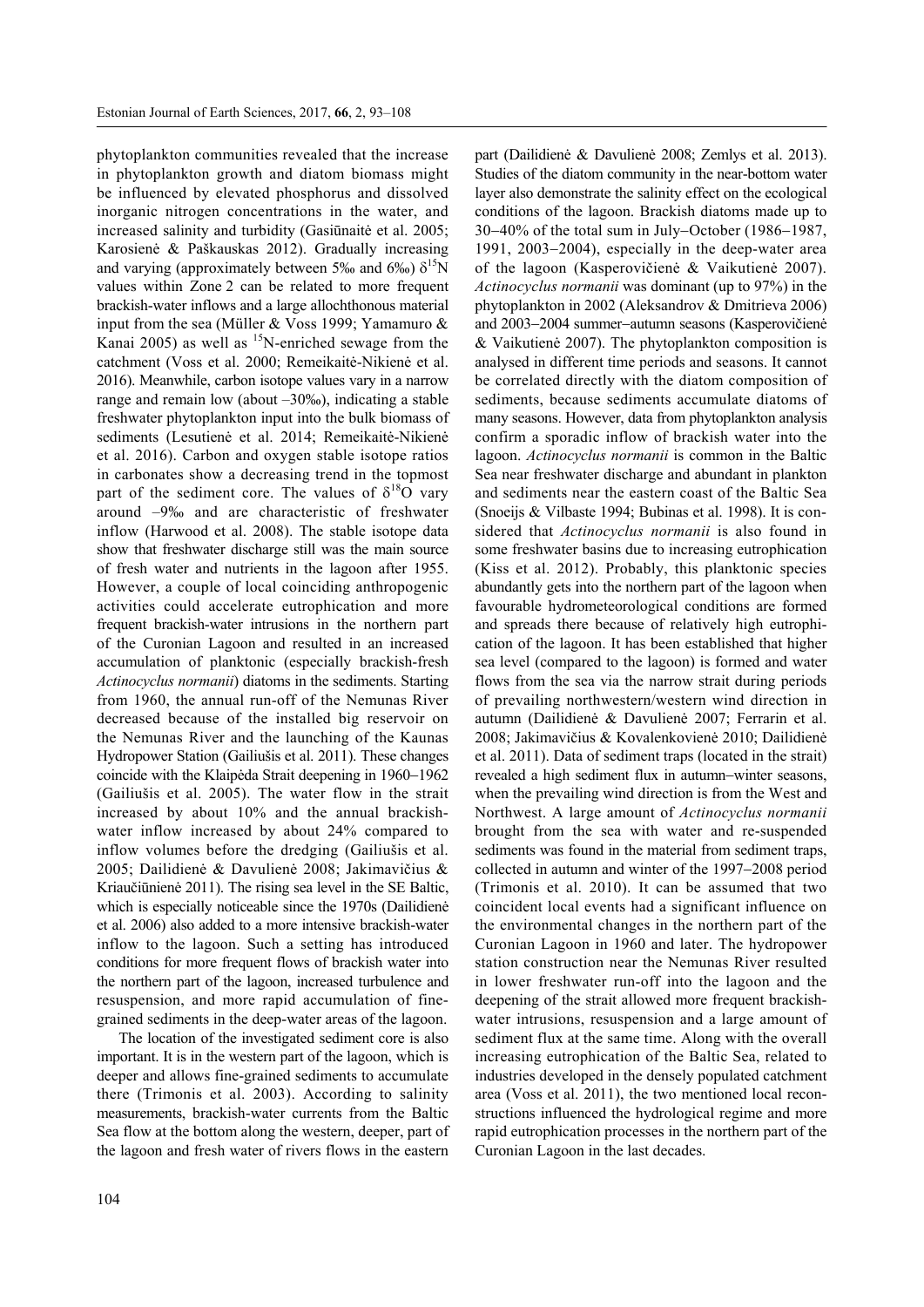phytoplankton communities revealed that the increase in phytoplankton growth and diatom biomass might be influenced by elevated phosphorus and dissolved inorganic nitrogen concentrations in the water, and increased salinity and turbidity (Gasiūnaitė et al. 2005; Karosienė & Paškauskas 2012). Gradually increasing and varying (approximately between 5‰ and 6‰)  $\delta^{15}N$ values within Zone 2 can be related to more frequent brackish-water inflows and a large allochthonous material input from the sea (Müller & Voss 1999; Yamamuro & Kanai 2005) as well as  ${}^{15}N$ -enriched sewage from the catchment (Voss et al. 2000; Remeikaitė-Nikienė et al. 2016). Meanwhile, carbon isotope values vary in a narrow range and remain low (about –30‰), indicating a stable freshwater phytoplankton input into the bulk biomass of sediments (Lesutienė et al. 2014; Remeikaitė-Nikienė et al. 2016). Carbon and oxygen stable isotope ratios in carbonates show a decreasing trend in the topmost part of the sediment core. The values of  $\delta^{18}O$  vary around –9‰ and are characteristic of freshwater inflow (Harwood et al. 2008). The stable isotope data show that freshwater discharge still was the main source of fresh water and nutrients in the lagoon after 1955. However, a couple of local coinciding anthropogenic activities could accelerate eutrophication and more frequent brackish-water intrusions in the northern part of the Curonian Lagoon and resulted in an increased accumulation of planktonic (especially brackish-fresh *Actinocyclus normanii*) diatoms in the sediments. Starting from 1960, the annual run-off of the Nemunas River decreased because of the installed big reservoir on the Nemunas River and the launching of the Kaunas Hydropower Station (Gailiušis et al. 2011). These changes coincide with the Klaipėda Strait deepening in  $1960-1962$ (Gailiušis et al. 2005). The water flow in the strait increased by about 10% and the annual brackishwater inflow increased by about 24% compared to inflow volumes before the dredging (Gailiušis et al. 2005; Dailidienė & Davulienė 2008; Jakimavičius & Kriaučiūnienė 2011). The rising sea level in the SE Baltic, which is especially noticeable since the 1970s (Dailidienė et al. 2006) also added to a more intensive brackish-water inflow to the lagoon. Such a setting has introduced conditions for more frequent flows of brackish water into the northern part of the lagoon, increased turbulence and resuspension, and more rapid accumulation of finegrained sediments in the deep-water areas of the lagoon.

The location of the investigated sediment core is also important. It is in the western part of the lagoon, which is deeper and allows fine-grained sediments to accumulate there (Trimonis et al. 2003). According to salinity measurements, brackish-water currents from the Baltic Sea flow at the bottom along the western, deeper, part of the lagoon and fresh water of rivers flows in the eastern part (Dailidienė & Davulienė 2008; Zemlys et al. 2013). Studies of the diatom community in the near-bottom water layer also demonstrate the salinity effect on the ecological conditions of the lagoon. Brackish diatoms made up to  $30-40\%$  of the total sum in July-October (1986–1987, 1991, 2003 $-2004$ ), especially in the deep-water area of the lagoon (Kasperovičienė & Vaikutienė 2007). *Actinocyclus normanii* was dominant (up to 97%) in the phytoplankton in 2002 (Aleksandrov & Dmitrieva 2006) and 2003–2004 summer-autumn seasons (Kasperovičienė & Vaikutienė 2007). The phytoplankton composition is analysed in different time periods and seasons. It cannot be correlated directly with the diatom composition of sediments, because sediments accumulate diatoms of many seasons. However, data from phytoplankton analysis confirm a sporadic inflow of brackish water into the lagoon. *Actinocyclus normanii* is common in the Baltic Sea near freshwater discharge and abundant in plankton and sediments near the eastern coast of the Baltic Sea (Snoeijs & Vilbaste 1994; Bubinas et al. 1998). It is considered that *Actinocyclus normanii* is also found in some freshwater basins due to increasing eutrophication (Kiss et al. 2012). Probably, this planktonic species abundantly gets into the northern part of the lagoon when favourable hydrometeorological conditions are formed and spreads there because of relatively high eutrophication of the lagoon. It has been established that higher sea level (compared to the lagoon) is formed and water flows from the sea via the narrow strait during periods of prevailing northwestern/western wind direction in autumn (Dailidienė & Davulienė 2007; Ferrarin et al. 2008; Jakimavičius & Kovalenkovienė 2010; Dailidienė et al. 2011). Data of sediment traps (located in the strait) revealed a high sediment flux in autumn-winter seasons, when the prevailing wind direction is from the West and Northwest. A large amount of *Actinocyclus normanii* brought from the sea with water and re-suspended sediments was found in the material from sediment traps, collected in autumn and winter of the 1997–2008 period (Trimonis et al. 2010). It can be assumed that two coincident local events had a significant influence on the environmental changes in the northern part of the Curonian Lagoon in 1960 and later. The hydropower station construction near the Nemunas River resulted in lower freshwater run-off into the lagoon and the deepening of the strait allowed more frequent brackishwater intrusions, resuspension and a large amount of sediment flux at the same time. Along with the overall increasing eutrophication of the Baltic Sea, related to industries developed in the densely populated catchment area (Voss et al. 2011), the two mentioned local reconstructions influenced the hydrological regime and more rapid eutrophication processes in the northern part of the Curonian Lagoon in the last decades.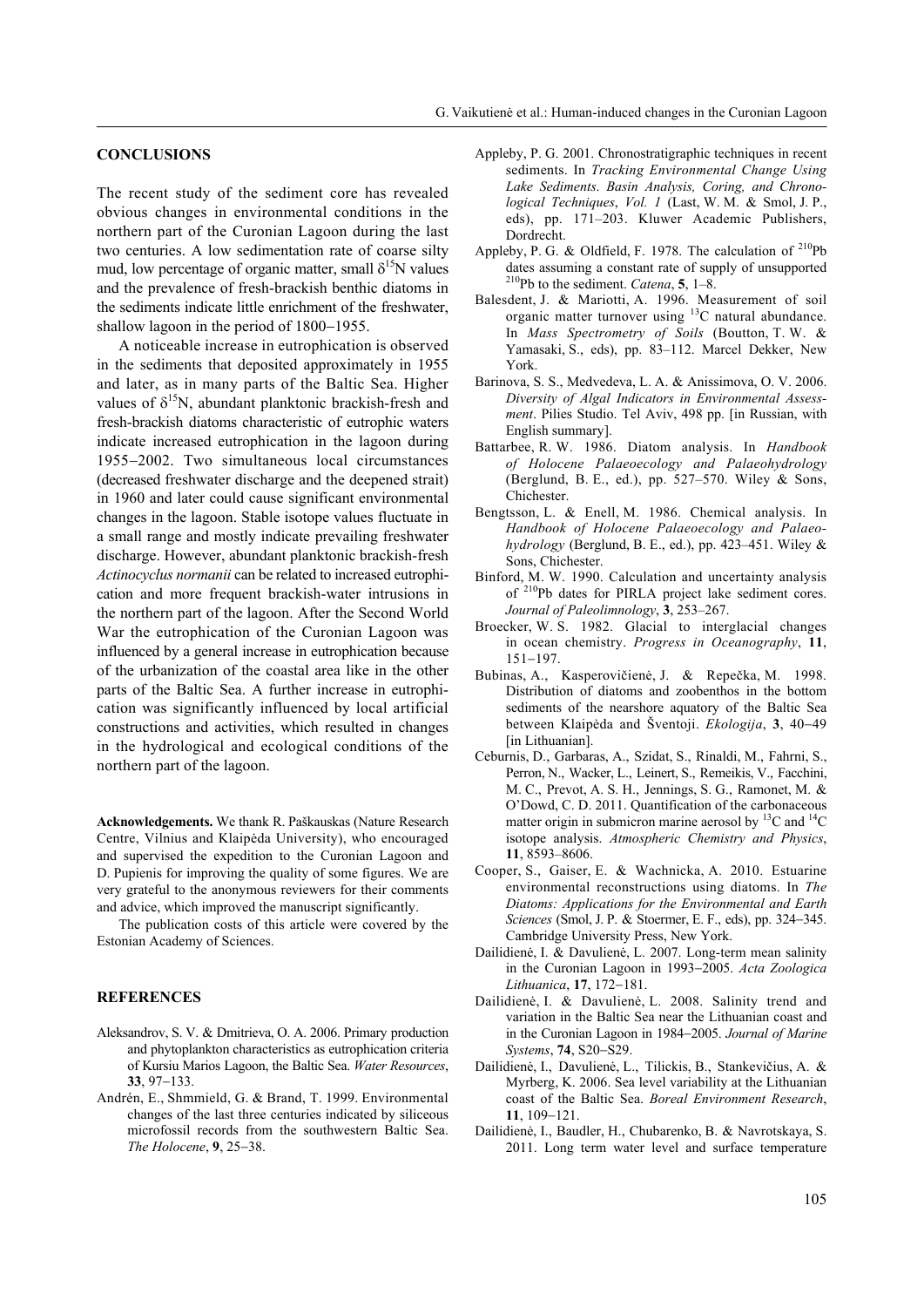#### **CONCLUSIONS**

The recent study of the sediment core has revealed obvious changes in environmental conditions in the northern part of the Curonian Lagoon during the last two centuries. A low sedimentation rate of coarse silty mud, low percentage of organic matter, small  $\delta^{15}N$  values and the prevalence of fresh-brackish benthic diatoms in the sediments indicate little enrichment of the freshwater, shallow lagoon in the period of  $1800-1955$ .

A noticeable increase in eutrophication is observed in the sediments that deposited approximately in 1955 and later, as in many parts of the Baltic Sea. Higher values of  $\delta^{15}N$ , abundant planktonic brackish-fresh and fresh-brackish diatoms characteristic of eutrophic waters indicate increased eutrophication in the lagoon during 19552002. Two simultaneous local circumstances (decreased freshwater discharge and the deepened strait) in 1960 and later could cause significant environmental changes in the lagoon. Stable isotope values fluctuate in a small range and mostly indicate prevailing freshwater discharge. However, abundant planktonic brackish-fresh *Actinocyclus normanii* can be related to increased eutrophication and more frequent brackish-water intrusions in the northern part of the lagoon. After the Second World War the eutrophication of the Curonian Lagoon was influenced by a general increase in eutrophication because of the urbanization of the coastal area like in the other parts of the Baltic Sea. A further increase in eutrophication was significantly influenced by local artificial constructions and activities, which resulted in changes in the hydrological and ecological conditions of the northern part of the lagoon.

**Acknowledgements.** We thank R. Paškauskas (Nature Research Centre, Vilnius and Klaipėda University), who encouraged and supervised the expedition to the Curonian Lagoon and D. Pupienis for improving the quality of some figures. We are very grateful to the anonymous reviewers for their comments and advice, which improved the manuscript significantly.

The publication costs of this article were covered by the Estonian Academy of Sciences.

### **REFERENCES**

- Aleksandrov, S. V. & Dmitrieva, O. A. 2006. Primary production and phytoplankton characteristics as eutrophication criteria of Kursiu Marios Lagoon, the Baltic Sea. *Water Resources*,  $33$ ,  $97-133$ .
- Andrén, E., Shmmield, G. & Brand, T. 1999. Environmental changes of the last three centuries indicated by siliceous microfossil records from the southwestern Baltic Sea. *The Holocene*, 9, 25-38.
- Appleby, P. G. 2001. Chronostratigraphic techniques in recent sediments. In *Tracking Environmental Change Using Lake Sediments*. *Basin Analysis, Coring, and Chronological Techniques*, *Vol. 1* (Last, W. M. & Smol, J. P., eds), pp. 171–203. Kluwer Academic Publishers, Dordrecht.
- Appleby, P. G. & Oldfield, F. 1978. The calculation of <sup>210</sup>Pb dates assuming a constant rate of supply of unsupported 210Pb to the sediment. *Catena*, **5**, 1–8.
- Balesdent, J. & Mariotti, A. 1996. Measurement of soil organic matter turnover using 13C natural abundance. In *Mass Spectrometry of Soils* (Boutton, T. W. & Yamasaki, S., eds), pp. 83–112. Marcel Dekker, New York.
- Barinova, S. S., Medvedeva, L. A. & Anissimova, O. V. 2006. *Diversity of Algal Indicators in Environmental Assessment*. Pilies Studio. Tel Aviv, 498 pp. [in Russian, with English summary].
- Battarbee, R. W. 1986. Diatom analysis. In *Handbook of Holocene Palaeoecology and Palaeohydrology* (Berglund, B. E., ed.), pp. 527–570. Wiley & Sons, Chichester.
- Bengtsson, L. & Enell, M. 1986. Chemical analysis. In *Handbook of Holocene Palaeoecology and Palaeohydrology* (Berglund, B. E., ed.), pp. 423–451. Wiley & Sons, Chichester.
- Binford, M. W. 1990. Calculation and uncertainty analysis of 210Pb dates for PIRLA project lake sediment cores. *Journal of Paleolimnology*, **3**, 253–267.
- Broecker, W. S. 1982. Glacial to interglacial changes in ocean chemistry. *Progress in Oceanography*, **11**,  $151 - 197$
- Bubinas, A., Kasperovičienė, J. & Repečka, M. 1998. Distribution of diatoms and zoobenthos in the bottom sediments of the nearshore aquatory of the Baltic Sea between Klaipėda and Šventoji. *Ekologija*, 3, 40-49 [in Lithuanian].
- Ceburnis, D., Garbaras, A., Szidat, S., Rinaldi, M., Fahrni, S., Perron, N., Wacker, L., Leinert, S., Remeikis, V., Facchini, M. C., Prevot, A. S. H., Jennings, S. G., Ramonet, M. & O'Dowd, C. D. 2011. Quantification of the carbonaceous matter origin in submicron marine aerosol by  ${}^{13}$ C and  ${}^{14}$ C isotope analysis. *Atmospheric Chemistry and Physics*, **11**, 8593–8606.
- Cooper, S., Gaiser, E. & Wachnicka, A. 2010. Estuarine environmental reconstructions using diatoms. In *The Diatoms: Applications for the Environmental and Earth Sciences* (Smol, J. P. & Stoermer, E. F., eds), pp. 324–345. Cambridge University Press, New York.
- Dailidienė, I. & Davulienė, L. 2007. Long-term mean salinity in the Curonian Lagoon in 1993-2005. *Acta Zoologica Lithuanica*, 17, 172-181.
- Dailidienė, I. & Davulienė, L. 2008. Salinity trend and variation in the Baltic Sea near the Lithuanian coast and in the Curonian Lagoon in 1984-2005. *Journal of Marine Systems*, 74, S20-S29.
- Dailidienė, I., Davulienė, L., Tilickis, B., Stankevičius, A. & Myrberg, K. 2006. Sea level variability at the Lithuanian coast of the Baltic Sea. *Boreal Environment Research*, **11**, 109-121.
- Dailidienė, I., Baudler, H., Chubarenko, B. & Navrotskaya, S. 2011. Long term water level and surface temperature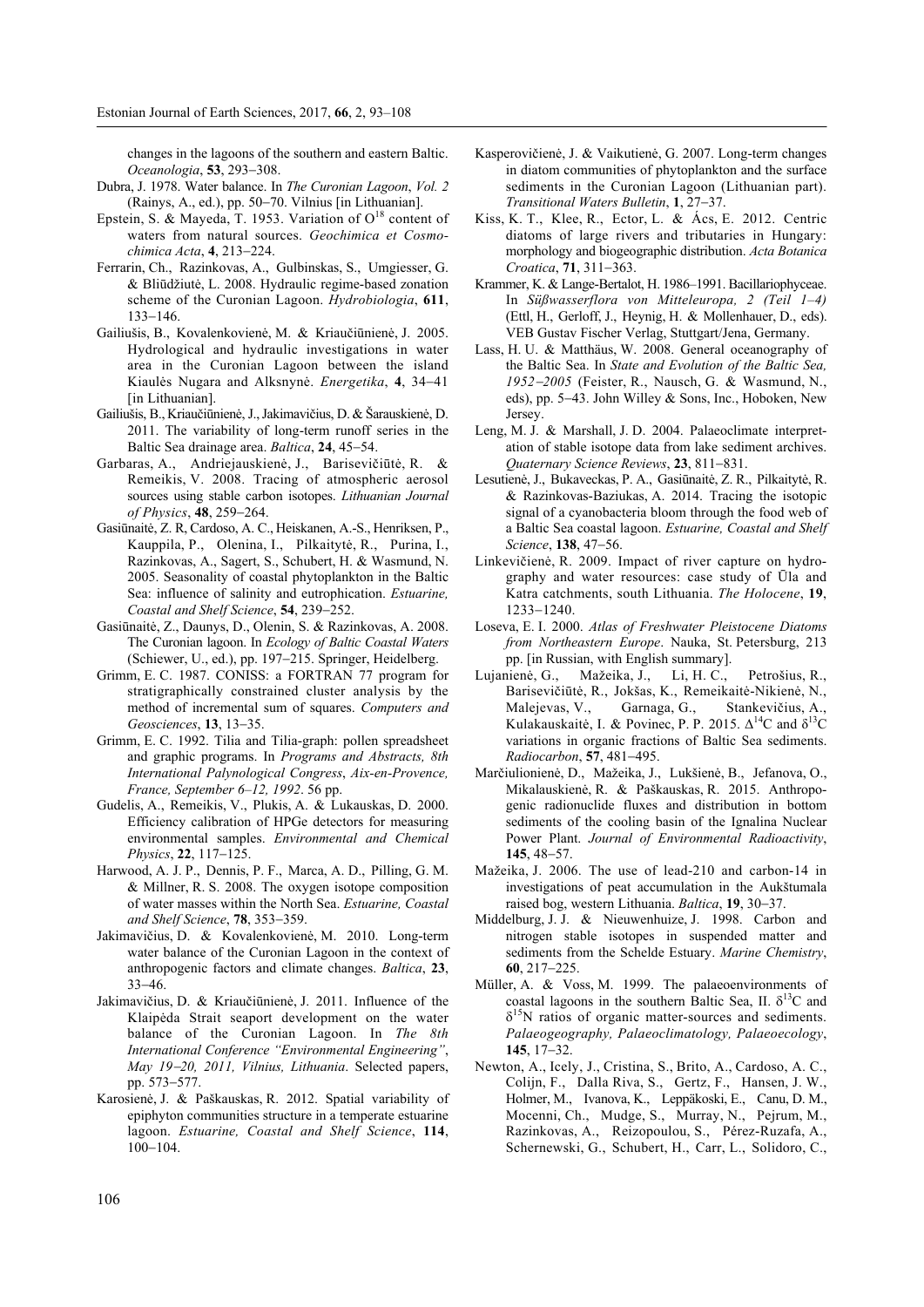changes in the lagoons of the southern and eastern Baltic. *Oceanologia*, **53**, 293-308.

- Dubra, J. 1978. Water balance. In *The Curonian Lagoon*, *Vol. 2* (Rainys, A., ed.), pp. 5070. Vilnius [in Lithuanian].
- Epstein, S. & Mayeda, T. 1953. Variation of  $O^{18}$  content of waters from natural sources. *Geochimica et Cosmochimica Acta*, 4, 213-224.
- Ferrarin, Ch., Razinkovas, A., Gulbinskas, S., Umgiesser, G. & Bliūdžiutė, L. 2008. Hydraulic regime-based zonation scheme of the Curonian Lagoon. *Hydrobiologia*, **611**, 133-146.
- Gailiušis, B., Kovalenkovienė, M. & Kriaučiūnienė, J. 2005. Hydrological and hydraulic investigations in water area in the Curonian Lagoon between the island Kiaulės Nugara and Alksnynė. *Energetika*, 4, 34-41 [in Lithuanian].
- Gailiušis, B., Kriaučiūnienė, J., Jakimavičius, D. & Šarauskienė, D. 2011. The variability of long-term runoff series in the Baltic Sea drainage area. *Baltica*, 24, 45-54.
- Garbaras, A., Andriejauskienė, J., Barisevičiūtė, R. & Remeikis, V. 2008. Tracing of atmospheric aerosol sources using stable carbon isotopes. *Lithuanian Journal of Physics*, 48, 259–264.
- Gasiūnaitė, Z. R, Cardoso, A. C., Heiskanen, A.-S., Henriksen, P., Kauppila, P., Olenina, I., Pilkaitytė, R., Purina, I., Razinkovas, A., Sagert, S., Schubert, H. & Wasmund, N. 2005. Seasonality of coastal phytoplankton in the Baltic Sea: influence of salinity and eutrophication. *Estuarine, Coastal and Shelf Science*, 54, 239–252.
- Gasiūnaitė, Z., Daunys, D., Olenin, S. & Razinkovas, A. 2008. The Curonian lagoon. In *Ecology of Baltic Coastal Waters*  (Schiewer, U., ed.), pp. 197-215. Springer, Heidelberg.
- Grimm, E. C. 1987. CONISS: a FORTRAN 77 program for stratigraphically constrained cluster analysis by the method of incremental sum of squares. *Computers and Geosciences*, 13, 13-35.
- Grimm, E. C. 1992. Tilia and Tilia-graph: pollen spreadsheet and graphic programs. In *Programs and Abstracts, 8th International Palynological Congress*, *Aix-en-Provence, France, September 6–12, 1992*. 56 pp.
- Gudelis, A., Remeikis, V., Plukis, A. & Lukauskas, D. 2000. Efficiency calibration of HPGe detectors for measuring environmental samples. *Environmental and Chemical Physics*, 22, 117–125.
- Harwood, A. J. P., Dennis, P. F., Marca, A. D., Pilling, G. M. & Millner, R. S. 2008. The oxygen isotope composition of water masses within the North Sea. *Estuarine, Coastal*  and Shelf Science, **78**, 353-359.
- Jakimavičius, D. & Kovalenkovienė, M. 2010. Long-term water balance of the Curonian Lagoon in the context of anthropogenic factors and climate changes. *Baltica*, **23**, 3346.
- Jakimavičius, D. & Kriaučiūnienė, J. 2011. Influence of the Klaipėda Strait seaport development on the water balance of the Curonian Lagoon. In *The 8th International Conference "Environmental Engineering"*, *May 1920, 2011, Vilnius, Lithuania*. Selected papers, pp. 573-577.
- Karosienė, J. & Paškauskas, R. 2012. Spatial variability of epiphyton communities structure in a temperate estuarine lagoon. *Estuarine, Coastal and Shelf Science*, **114**,  $100 - 104$ .
- Kasperovičienė, J. & Vaikutienė, G. 2007. Long-term changes in diatom communities of phytoplankton and the surface sediments in the Curonian Lagoon (Lithuanian part). *Transitional Waters Bulletin, 1, 27-37.*
- Kiss, K. T., Klee, R., Ector, L. & Ács, E. 2012. Centric diatoms of large rivers and tributaries in Hungary: morphology and biogeographic distribution. *Acta Botanica Croatica*, **71**, 311–363.
- Krammer, K. & Lange-Bertalot, H. 1986–1991. Bacillariophyceae. In *Süßwasserflora von Mitteleuropa, 2 (Teil 1–4)* (Ettl, H., Gerloff, J., Heynig, H. & Mollenhauer, D., eds). VEB Gustav Fischer Verlag, Stuttgart/Jena, Germany.
- Lass, H. U. & Matthäus, W. 2008. General oceanography of the Baltic Sea. In *State and Evolution of the Baltic Sea, 19522005* (Feister, R., Nausch, G. & Wasmund, N., eds), pp. 5-43. John Willey & Sons, Inc., Hoboken, New Jersey.
- Leng, M. J. & Marshall, J. D. 2004. Palaeoclimate interpretation of stable isotope data from lake sediment archives. *Quaternary Science Reviews*, 23, 811-831.
- Lesutienė, J., Bukaveckas, P. A., Gasiūnaitė, Z. R., Pilkaitytė, R. & Razinkovas-Baziukas, A. 2014. Tracing the isotopic signal of a cyanobacteria bloom through the food web of a Baltic Sea coastal lagoon. *Estuarine, Coastal and Shelf Science*, **138**, 47-56.
- Linkevičienė, R. 2009. Impact of river capture on hydrography and water resources: case study of Ūla and Katra catchments, south Lithuania. *The Holocene*, **19**, 1233-1240.
- Loseva, E. I. 2000. *Atlas of Freshwater Pleistocene Diatoms from Northeastern Europe*. Nauka, St. Petersburg, 213 pp. [in Russian, with English summary].
- Lujanienė, G., Mažeika, J., Li, H. C., Petrošius, R., Barisevičiūtė, R., Jokšas, K., Remeikaitė-Nikienė, N., Malejevas, V., Garnaga, G., Stankevičius, A., Kulakauskaitė, I. & Povinec, P. P. 2015.  $\Delta^{14}C$  and  $\delta^{13}C$ variations in organic fractions of Baltic Sea sediments.  $Radiocarbon, 57, 481–495.$
- Marčiulionienė, D., Mažeika, J., Lukšienė, B., Jefanova, O., Mikalauskienė, R. & Paškauskas, R. 2015. Anthropogenic radionuclide fluxes and distribution in bottom sediments of the cooling basin of the Ignalina Nuclear Power Plant. *Journal of Environmental Radioactivity*, **145**, 48-57.
- Mažeika, J. 2006. The use of lead-210 and carbon-14 in investigations of peat accumulation in the Aukštumala raised bog, western Lithuania. *Baltica*, **19**, 30-37.
- Middelburg, J. J. & Nieuwenhuize, J. 1998. Carbon and nitrogen stable isotopes in suspended matter and sediments from the Schelde Estuary. *Marine Chemistry*, 60, 217-225.
- Müller, A. & Voss, M. 1999. The palaeoenvironments of coastal lagoons in the southern Baltic Sea, II.  $\delta^{13}$ C and  $\delta^{15}$ N ratios of organic matter-sources and sediments. *Palaeogeography, Palaeoclimatology, Palaeoecology*, **145**, 17-32.
- Newton, A., Icely, J., Cristina, S., Brito, A., Cardoso, A. C., Colijn, F., Dalla Riva, S., Gertz, F., Hansen, J. W., Holmer, M., Ivanova, K., Leppäkoski, E., Canu, D. M., Mocenni, Ch., Mudge, S., Murray, N., Pejrum, M., Razinkovas, A., Reizopoulou, S., Pérez-Ruzafa, A., Schernewski, G., Schubert, H., Carr, L., Solidoro, C.,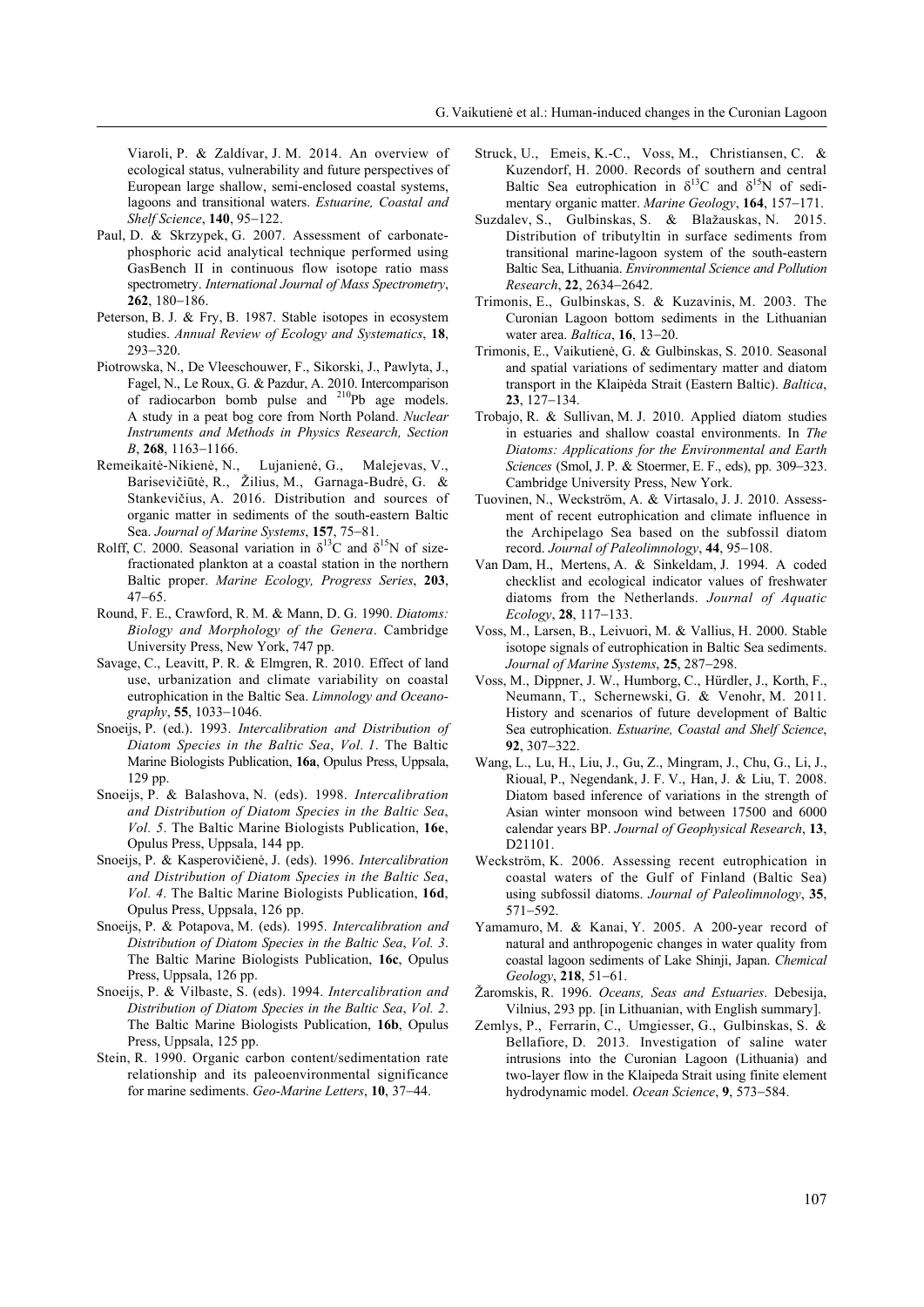Viaroli, P. & Zaldívar, J. M. 2014. An overview of ecological status, vulnerability and future perspectives of European large shallow, semi-enclosed coastal systems, lagoons and transitional waters. *Estuarine, Coastal and Shelf Science*, 140, 95-122.

- Paul, D. & Skrzypek, G. 2007. Assessment of carbonatephosphoric acid analytical technique performed using GasBench II in continuous flow isotope ratio mass spectrometry. *International Journal of Mass Spectrometry*, **262**, 180-186.
- Peterson, B. J. & Fry, B. 1987. Stable isotopes in ecosystem studies. *Annual Review of Ecology and Systematics*, **18**,  $293 - 320$ .
- Piotrowska, N., De Vleeschouwer, F., Sikorski, J., Pawlyta, J., Fagel, N., Le Roux, G. & Pazdur, A. 2010. Intercomparison of radiocarbon bomb pulse and 210Pb age models. A study in a peat bog core from North Poland. *Nuclear Instruments and Methods in Physics Research, Section B*, **268**, 1163-1166.<br>Remeikaitė-Nikienė, N.,
- Lujanienė, G., Malejevas, V., Barisevičiūtė, R., Žilius, M., Garnaga-Budrė, G. & Stankevičius, A. 2016. Distribution and sources of organic matter in sediments of the south-eastern Baltic Sea. *Journal of Marine Systems*, 157, 75-81.
- Rolff, C. 2000. Seasonal variation in  $\delta^{13}$ C and  $\delta^{15}$ N of sizefractionated plankton at a coastal station in the northern Baltic proper. *Marine Ecology, Progress Series*, **203**,  $47 - 65$ .
- Round, F. E., Crawford, R. M. & Mann, D. G. 1990. *Diatoms: Biology and Morphology of the Genera*. Cambridge University Press, New York, 747 pp.
- Savage, C., Leavitt, P. R. & Elmgren, R. 2010. Effect of land use, urbanization and climate variability on coastal eutrophication in the Baltic Sea. *Limnology and Oceanography*, 55, 1033-1046.
- Snoeijs, P. (ed.). 1993. *Intercalibration and Distribution of Diatom Species in the Baltic Sea*, *Vol. 1*. The Baltic Marine Biologists Publication, **16a**, Opulus Press, Uppsala, 129 pp.
- Snoeijs, P. & Balashova, N. (eds). 1998. *Intercalibration and Distribution of Diatom Species in the Baltic Sea*, *Vol. 5*. The Baltic Marine Biologists Publication, **16e**, Opulus Press, Uppsala, 144 pp.
- Snoeijs, P. & Kasperovičienė, J. (eds). 1996. *Intercalibration and Distribution of Diatom Species in the Baltic Sea*, *Vol. 4*. The Baltic Marine Biologists Publication, **16d**, Opulus Press, Uppsala, 126 pp.
- Snoeijs, P. & Potapova, M. (eds). 1995. *Intercalibration and Distribution of Diatom Species in the Baltic Sea*, *Vol. 3*. The Baltic Marine Biologists Publication, **16c**, Opulus Press, Uppsala, 126 pp.
- Snoeijs, P. & Vilbaste, S. (eds). 1994. *Intercalibration and Distribution of Diatom Species in the Baltic Sea*, *Vol. 2*. The Baltic Marine Biologists Publication, **16b**, Opulus Press, Uppsala, 125 pp.
- Stein, R. 1990. Organic carbon content/sedimentation rate relationship and its paleoenvironmental significance for marine sediments. *Geo-Marine Letters*, **10**, 37-44.
- Struck, U., Emeis, K.-C., Voss, M., Christiansen, C. & Kuzendorf, H. 2000. Records of southern and central Baltic Sea eutrophication in  $\delta^{13}$ C and  $\delta^{15}$ N of sedimentary organic matter. *Marine Geology*, 164, 157-171.
- Suzdalev, S., Gulbinskas, S. & Blažauskas, N. 2015. Distribution of tributyltin in surface sediments from transitional marine-lagoon system of the south-eastern Baltic Sea, Lithuania. *Environmental Science and Pollution Research*, 22, 2634-2642.
- Trimonis, E., Gulbinskas, S. & Kuzavinis, M. 2003. The Curonian Lagoon bottom sediments in the Lithuanian water area. *Baltica*, **16**, 13-20.
- Trimonis, E., Vaikutienė, G. & Gulbinskas, S. 2010. Seasonal and spatial variations of sedimentary matter and diatom transport in the Klaipėda Strait (Eastern Baltic). *Baltica*, **23**, 127-134.
- Trobajo, R. & Sullivan, M. J. 2010. Applied diatom studies in estuaries and shallow coastal environments. In *The Diatoms: Applications for the Environmental and Earth Sciences* (Smol, J. P. & Stoermer, E. F., eds), pp. 309-323. Cambridge University Press, New York.
- Tuovinen, N., Weckström, A. & Virtasalo, J. J. 2010. Assessment of recent eutrophication and climate influence in the Archipelago Sea based on the subfossil diatom record. *Journal of Paleolimnology*, 44, 95-108.
- Van Dam, H., Mertens, A. & Sinkeldam, J. 1994. A coded checklist and ecological indicator values of freshwater diatoms from the Netherlands. *Journal of Aquatic Ecology*, 28, 117–133.
- Voss, M., Larsen, B., Leivuori, M. & Vallius, H. 2000. Stable isotope signals of eutrophication in Baltic Sea sediments. *Journal of Marine Systems*, 25, 287-298.
- Voss, M., Dippner, J. W., Humborg, C., Hürdler, J., Korth, F., Neumann, T., Schernewski, G. & Venohr, M. 2011. History and scenarios of future development of Baltic Sea eutrophication. *Estuarine, Coastal and Shelf Science*, **92.** 307-322.
- Wang, L., Lu, H., Liu, J., Gu, Z., Mingram, J., Chu, G., Li, J., Rioual, P., Negendank, J. F. V., Han, J. & Liu, T. 2008. Diatom based inference of variations in the strength of Asian winter monsoon wind between 17500 and 6000 calendar years BP. *Journal of Geophysical Research*, **13**, D21101.
- Weckström, K. 2006. Assessing recent eutrophication in coastal waters of the Gulf of Finland (Baltic Sea) using subfossil diatoms. *Journal of Paleolimnology*, **35**, 571-592.
- Yamamuro, M. & Kanai, Y. 2005. A 200-year record of natural and anthropogenic changes in water quality from coastal lagoon sediments of Lake Shinji, Japan. *Chemical Geology*, 218, 51-61.
- Žaromskis, R. 1996. *Oceans, Seas and Estuaries*. Debesija, Vilnius, 293 pp. [in Lithuanian, with English summary].
- Zemlys, P., Ferrarin, C., Umgiesser, G., Gulbinskas, S. & Bellafiore, D. 2013. Investigation of saline water intrusions into the Curonian Lagoon (Lithuania) and two-layer flow in the Klaipeda Strait using finite element hydrodynamic model. Ocean Science, 9, 573-584.